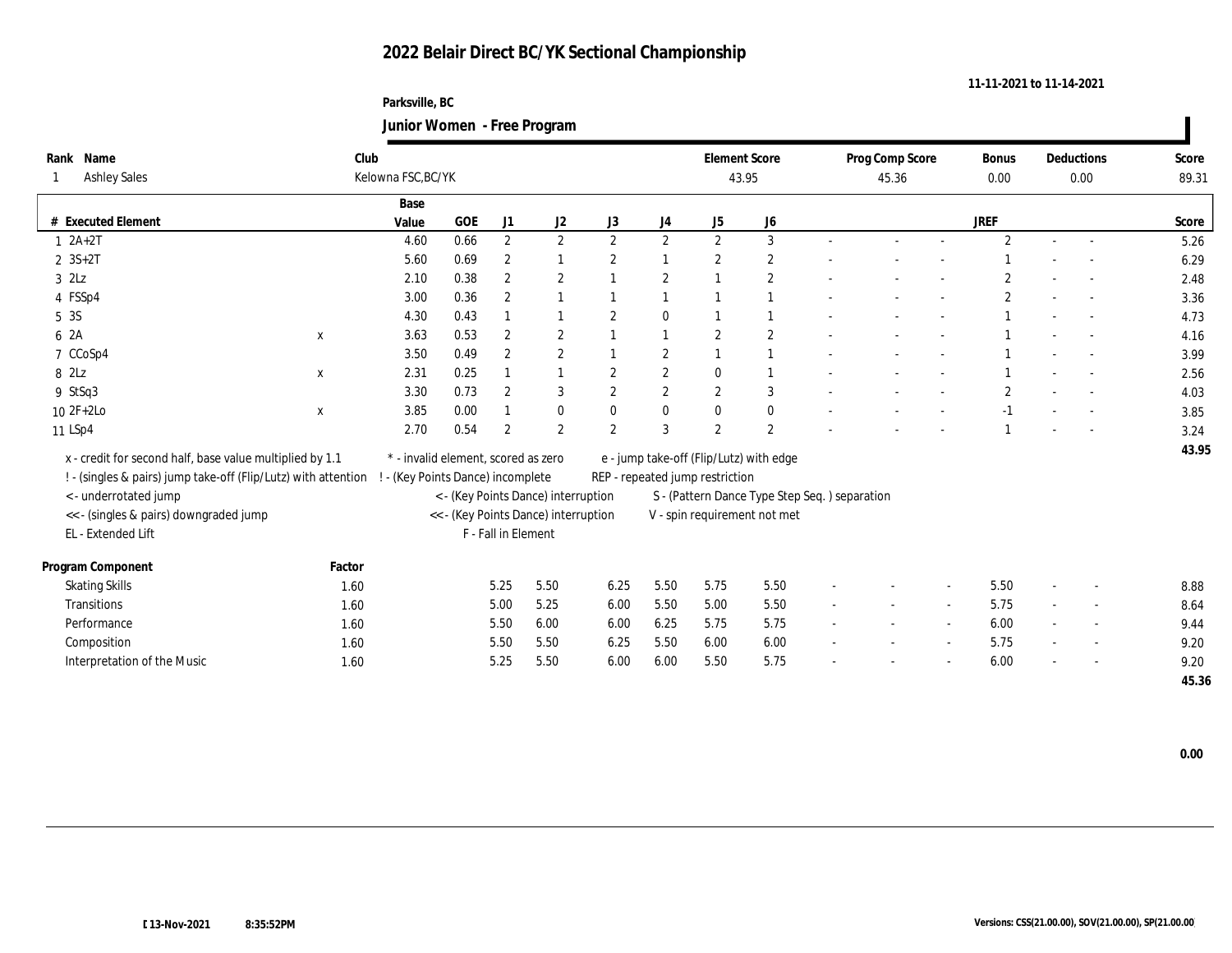### **Parksville, BC Junior Women - Free Program**

|      |                                                                |        |                                           |      |                     | ັ                                    |                |                  |                                 |                                               |                          |                 |                |                |        |                   |       |
|------|----------------------------------------------------------------|--------|-------------------------------------------|------|---------------------|--------------------------------------|----------------|------------------|---------------------------------|-----------------------------------------------|--------------------------|-----------------|----------------|----------------|--------|-------------------|-------|
|      | Rank Name                                                      | Club   |                                           |      |                     |                                      |                |                  | <b>Element Score</b>            |                                               |                          | Prog Comp Score |                | <b>Bonus</b>   |        | <b>Deductions</b> | Score |
|      | Ashley Sales                                                   |        | Kelowna FSC, BC/YK                        |      |                     |                                      |                |                  |                                 | 43.95                                         |                          | 45.36           |                | 0.00           |        | 0.00              | 89.31 |
|      |                                                                |        | Base                                      |      |                     |                                      |                |                  |                                 |                                               |                          |                 |                |                |        |                   |       |
|      | <b>Executed Element</b>                                        |        | Value                                     | GOE  | J1                  | J2                                   | J3             | J4               | J5                              | ${\bf J6}$                                    |                          |                 |                | <b>JREF</b>    |        |                   | Score |
|      | $1 2A+2T$                                                      |        | 4.60                                      | 0.66 | $\mathbf{2}$        | $\mathbf{2}$                         | 2              | $\mathbf{2}$     | $\mathbf{2}$                    | 3                                             |                          |                 | $\sim$         | $\overline{2}$ | $\sim$ |                   | 5.26  |
|      | $2 \, 3S + 2T$                                                 |        | 5.60                                      | 0.69 | $\boldsymbol{2}$    |                                      | $\overline{2}$ |                  | $\boldsymbol{2}$                | $\boldsymbol{2}$                              |                          |                 |                |                |        |                   | 6.29  |
|      | $3$ $2\text{L}z$                                               |        | 2.10                                      | 0.38 | $\boldsymbol{2}$    | $\boldsymbol{2}$                     |                | $\overline{c}$   |                                 | $\mathbf{2}$                                  |                          |                 |                | $\mathbf{2}$   |        |                   | 2.48  |
|      | 4 FSSp4                                                        |        | 3.00                                      | 0.36 | $\boldsymbol{2}$    |                                      |                | $\overline{1}$   |                                 | $\overline{1}$                                |                          |                 |                | $\mathbf{2}$   |        |                   | 3.36  |
| 5 3S |                                                                |        | 4.30                                      | 0.43 |                     |                                      | $\overline{2}$ | $\bf{0}$         |                                 | $\overline{1}$                                |                          |                 |                |                |        |                   | 4.73  |
| 6 2A | $\mathbf{x}$                                                   |        | 3.63                                      | 0.53 | $\overline{2}$      | $\boldsymbol{2}$                     |                | $\overline{1}$   | $\overline{2}$                  | $\sqrt{2}$                                    |                          |                 |                |                |        |                   | 4.16  |
|      | 7 CCoSp4                                                       |        | 3.50                                      | 0.49 | $\boldsymbol{2}$    | $\sqrt{2}$                           |                | $\boldsymbol{2}$ |                                 | $\overline{1}$                                |                          |                 | $\overline{a}$ |                |        |                   | 3.99  |
|      | 8 2Lz<br>$\mathbf X$                                           |        | 2.31                                      | 0.25 |                     |                                      | $\overline{2}$ | $\boldsymbol{2}$ | $\mathbf{0}$                    |                                               |                          |                 |                |                |        |                   | 2.56  |
|      | 9 StSq3                                                        |        | 3.30                                      | 0.73 | $\overline{2}$      | 3                                    | $\overline{2}$ | $\sqrt{2}$       | $\mathbf{2}$                    | 3                                             |                          |                 |                | $\overline{2}$ |        |                   | 4.03  |
|      | 10 2F+2Lo<br>$\mathbf x$                                       |        | 3.85                                      | 0.00 |                     | $\mathbf{0}$                         | $\theta$       | $\bf{0}$         | $\mathbf{0}$                    | $\bf{0}$                                      |                          |                 |                | $-1$           |        |                   | 3.85  |
|      | 11 LSp4                                                        |        | 2.70                                      | 0.54 | $\overline{2}$      | 2                                    | $\overline{2}$ | 3                | $\overline{2}$                  | 2                                             |                          |                 |                |                |        |                   | 3.24  |
|      | x - credit for second half, base value multiplied by 1.1       |        | $^\ast$ - invalid element, scored as zero |      |                     |                                      |                |                  |                                 | e - jump take-off (Flip/Lutz) with edge       |                          |                 |                |                |        |                   | 43.95 |
|      | ! - (singles & pairs) jump take-off (Flip/Lutz) with attention |        | ! - (Key Points Dance) incomplete         |      |                     |                                      |                |                  | REP - repeated jump restriction |                                               |                          |                 |                |                |        |                   |       |
|      | <- underrotated jump                                           |        |                                           |      |                     | < - (Key Points Dance) interruption  |                |                  |                                 | S - (Pattern Dance Type Step Seq.) separation |                          |                 |                |                |        |                   |       |
|      | << - (singles & pairs) downgraded jump                         |        |                                           |      |                     | << - (Key Points Dance) interruption |                |                  |                                 | V - spin requirement not met                  |                          |                 |                |                |        |                   |       |
|      | EL - Extended Lift                                             |        |                                           |      | F - Fall in Element |                                      |                |                  |                                 |                                               |                          |                 |                |                |        |                   |       |
|      |                                                                |        |                                           |      |                     |                                      |                |                  |                                 |                                               |                          |                 |                |                |        |                   |       |
|      | Program Component                                              | Factor |                                           |      |                     |                                      |                |                  |                                 |                                               |                          |                 |                |                |        |                   |       |
|      | <b>Skating Skills</b>                                          | 1.60   |                                           |      | 5.25                | 5.50                                 | 6.25           | 5.50             | 5.75                            | 5.50                                          |                          |                 |                | 5.50           |        |                   | 8.88  |
|      | Transitions                                                    | 1.60   |                                           |      | 5.00                | 5.25                                 | 6.00           | 5.50             | 5.00                            | 5.50                                          |                          |                 | $\sim$         | 5.75           |        |                   | 8.64  |
|      | Performance                                                    | 1.60   |                                           |      | 5.50                | 6.00                                 | 6.00           | 6.25             | 5.75                            | 5.75                                          |                          |                 | $\sim$         | 6.00           |        |                   | 9.44  |
|      | Composition                                                    | 1.60   |                                           |      | 5.50                | 5.50                                 | 6.25           | 5.50             | 6.00                            | 6.00                                          | $\overline{\phantom{a}}$ |                 | $\sim$         | 5.75           | $\sim$ |                   | 9.20  |
|      | Interpretation of the Music                                    | 1.60   |                                           |      | 5.25                | 5.50                                 | 6.00           | 6.00             | 5.50                            | 5.75                                          |                          |                 |                | 6.00           |        |                   | 9.20  |
|      |                                                                |        |                                           |      |                     |                                      |                |                  |                                 |                                               |                          |                 |                |                |        |                   | 45.36 |

 $\blacksquare$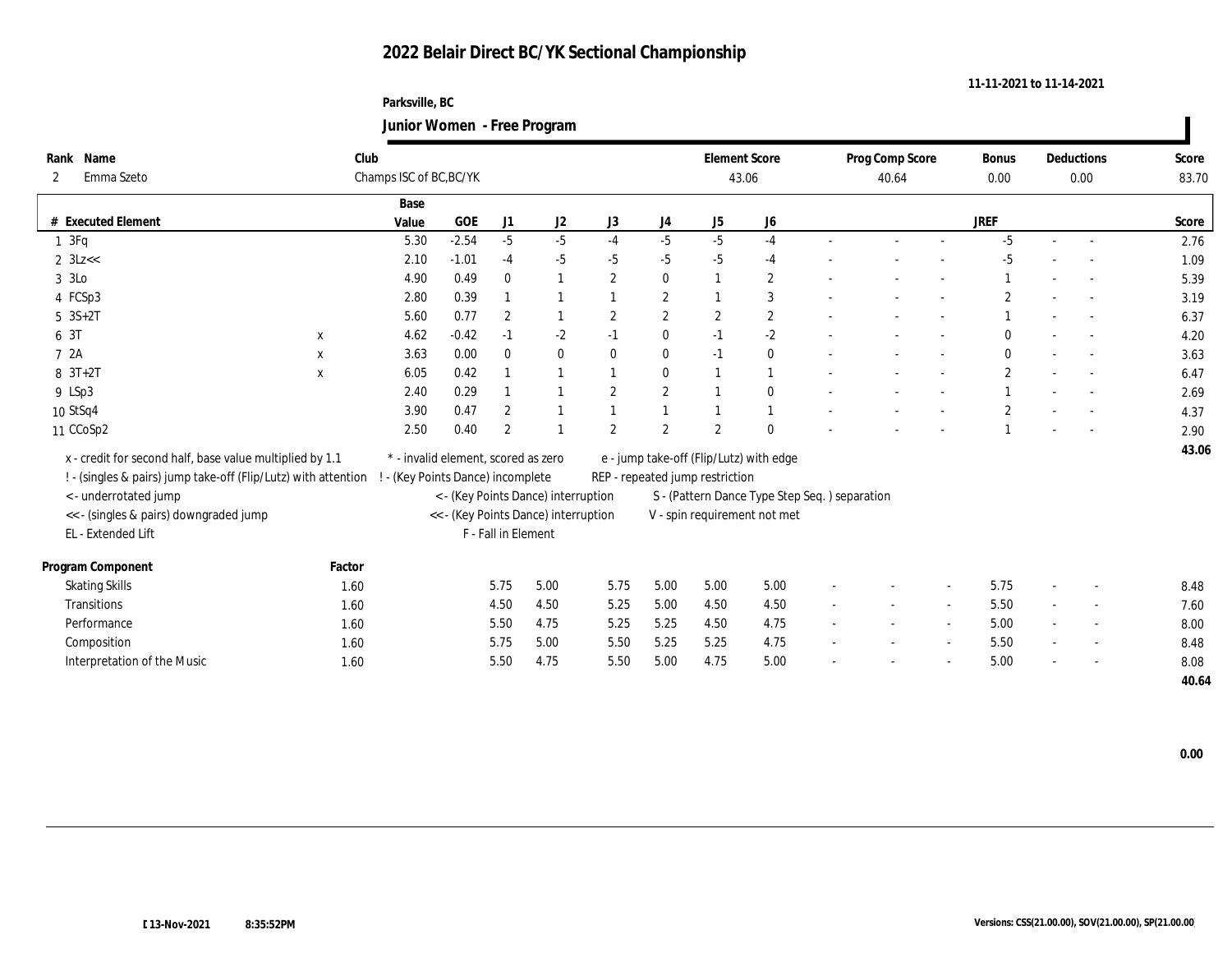### **Parksville, BC Junior Women - Free Program**

|              |                                                                |        |                                     |            |                     | ັ                                    |                  |                  |                                         |                                               |                          |                 |                          |                |                |                          |       |
|--------------|----------------------------------------------------------------|--------|-------------------------------------|------------|---------------------|--------------------------------------|------------------|------------------|-----------------------------------------|-----------------------------------------------|--------------------------|-----------------|--------------------------|----------------|----------------|--------------------------|-------|
|              | Rank Name                                                      | Club   |                                     |            |                     |                                      |                  |                  | <b>Element Score</b>                    |                                               |                          | Prog Comp Score |                          | <b>Bonus</b>   |                | Deductions               | Score |
| $\mathbf{2}$ | Emma Szeto                                                     |        | Champs ISC of BC, BC/YK             |            |                     |                                      |                  |                  | 43.06                                   |                                               |                          | 40.64           |                          | 0.00           |                | 0.00                     | 83.70 |
|              |                                                                |        | Base                                |            |                     |                                      |                  |                  |                                         |                                               |                          |                 |                          |                |                |                          |       |
|              | # Executed Element                                             |        | Value                               | <b>GOE</b> | J1                  | J2                                   | J3               | J4               | ${\rm J}5$                              | ${\bf J6}$                                    |                          |                 |                          | <b>JREF</b>    |                |                          | Score |
|              | $1 \t3Fq$                                                      |        | 5.30                                | $-2.54$    | $-5$                | $-5$                                 | $-4$             | $-5$             | $-5$                                    | $-4$                                          |                          |                 | $\sim$                   | $-5$           | $\sim$         |                          | 2.76  |
|              | $2 \text{ } 3Lz <$                                             |        | 2.10                                | $-1.01$    | $-4$                | $-5$                                 | $-5$             | $-5$             | $-5$                                    | $-4$                                          |                          |                 |                          | -5             |                |                          | 1.09  |
| 3 3Lo        |                                                                |        | 4.90                                | 0.49       | $\mathbf{0}$        |                                      | $\overline{2}$   | $\bf{0}$         | $\overline{1}$                          | $\mathbf{2}$                                  |                          |                 |                          |                |                |                          | 5.39  |
|              | 4 FCSp3                                                        |        | 2.80                                | 0.39       |                     |                                      |                  | $\boldsymbol{2}$ |                                         | 3                                             |                          |                 |                          | $\overline{2}$ |                |                          | 3.19  |
|              | $5 \text{ } 3S+2T$                                             |        | 5.60                                | 0.77       | $\boldsymbol{2}$    |                                      | $\boldsymbol{2}$ | $\mathbf{2}$     | $\mathbf{2}$                            | $\mathbf{2}$                                  |                          |                 | $\overline{\phantom{a}}$ |                | $\sim$         |                          | 6.37  |
| 6 3T         | $\mathbf{x}$                                                   |        | 4.62                                | $-0.42$    | $-1$                | $-2$                                 | $-1$             | $\bf{0}$         | $-1$                                    | $-2$                                          |                          |                 |                          |                |                |                          | 4.20  |
| 7 2A         | $\mathbf{x}$                                                   |        | 3.63                                | 0.00       | $\bf{0}$            | $\bf{0}$                             | $\bf{0}$         | $\bf{0}$         | $-1$                                    | $\bf{0}$                                      |                          |                 | $\sim$                   | $\Omega$       | $\sim$         | $\sim$                   | 3.63  |
|              | $8 \t3T+2T$<br>$\mathbf{x}$                                    |        | 6.05                                | 0.42       |                     |                                      |                  | $\mathbf{0}$     |                                         | $\mathbf{1}$                                  |                          |                 | $\overline{a}$           | $\overline{c}$ |                | $\sim$                   | 6.47  |
|              | 9 LSp3                                                         |        | 2.40                                | 0.29       |                     |                                      | $\boldsymbol{2}$ | $\boldsymbol{2}$ |                                         | $\bf{0}$                                      |                          |                 |                          |                |                |                          | 2.69  |
|              | 10 StSq4                                                       |        | 3.90                                | 0.47       | $\overline{2}$      |                                      |                  |                  |                                         | 1                                             |                          |                 |                          | $\overline{c}$ |                |                          | 4.37  |
|              | 11 CCoSp2                                                      |        | 2.50                                | 0.40       | $\overline{2}$      |                                      | $\overline{2}$   | $\overline{2}$   | $\overline{2}$                          | $\theta$                                      |                          |                 |                          |                |                |                          | 2.90  |
|              | x - credit for second half, base value multiplied by 1.1       |        | * - invalid element, scored as zero |            |                     |                                      |                  |                  | e - jump take-off (Flip/Lutz) with edge |                                               |                          |                 |                          |                |                |                          | 43.06 |
|              | ! - (singles & pairs) jump take-off (Flip/Lutz) with attention |        | - (Key Points Dance) incomplete     |            |                     |                                      |                  |                  | REP - repeated jump restriction         |                                               |                          |                 |                          |                |                |                          |       |
|              | <- underrotated jump                                           |        |                                     |            |                     | < - (Key Points Dance) interruption  |                  |                  |                                         | S - (Pattern Dance Type Step Seq.) separation |                          |                 |                          |                |                |                          |       |
|              | << - (singles & pairs) downgraded jump                         |        |                                     |            |                     | << - (Key Points Dance) interruption |                  |                  |                                         | V - spin requirement not met                  |                          |                 |                          |                |                |                          |       |
|              | EL - Extended Lift                                             |        |                                     |            | F - Fall in Element |                                      |                  |                  |                                         |                                               |                          |                 |                          |                |                |                          |       |
|              |                                                                |        |                                     |            |                     |                                      |                  |                  |                                         |                                               |                          |                 |                          |                |                |                          |       |
|              | Program Component                                              | Factor |                                     |            |                     |                                      |                  |                  |                                         |                                               |                          |                 |                          |                |                |                          |       |
|              | <b>Skating Skills</b>                                          | 1.60   |                                     |            | 5.75                | 5.00                                 | 5.75             | 5.00             | 5.00                                    | 5.00                                          |                          |                 |                          | 5.75           | $\overline{a}$ |                          | 8.48  |
|              | Transitions                                                    | 1.60   |                                     |            | 4.50                | 4.50                                 | 5.25             | 5.00             | 4.50                                    | 4.50                                          |                          |                 | $\sim$                   | 5.50           |                |                          | 7.60  |
|              | Performance                                                    | 1.60   |                                     |            | 5.50                | 4.75                                 | 5.25             | 5.25             | 4.50                                    | 4.75                                          |                          |                 | $\sim$                   | 5.00           | $\sim$         | $\overline{\phantom{a}}$ | 8.00  |
|              | Composition                                                    | 1.60   |                                     |            | 5.75                | 5.00                                 | 5.50             | 5.25             | 5.25                                    | 4.75                                          | $\overline{\phantom{a}}$ |                 | $\sim$                   | 5.50           | $\sim$         |                          | 8.48  |
|              | Interpretation of the Music                                    | 1.60   |                                     |            | 5.50                | 4.75                                 | 5.50             | 5.00             | 4.75                                    | 5.00                                          |                          |                 |                          | 5.00           |                |                          | 8.08  |
|              |                                                                |        |                                     |            |                     |                                      |                  |                  |                                         |                                               |                          |                 |                          |                |                |                          | 40.64 |

 $\blacksquare$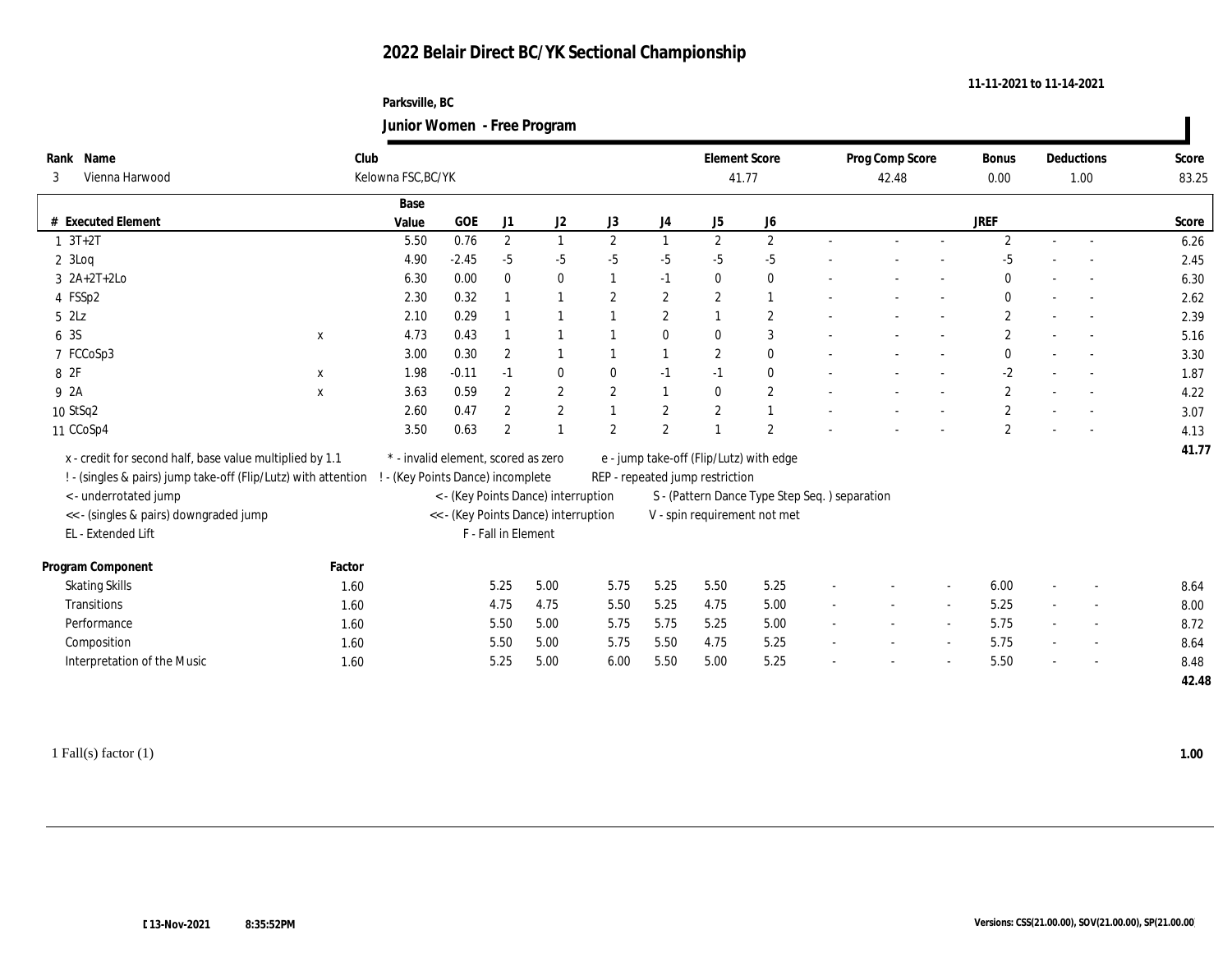### **Parksville, BC Junior Women - Free Program**

|                                                                |             |                                 |                                      |                     | $\overline{\mathbf{v}}$ |                  |                  |                                 |                                               |        |                 |        |              |                          |                          |       |
|----------------------------------------------------------------|-------------|---------------------------------|--------------------------------------|---------------------|-------------------------|------------------|------------------|---------------------------------|-----------------------------------------------|--------|-----------------|--------|--------------|--------------------------|--------------------------|-------|
| Rank Name                                                      |             | Club                            |                                      |                     |                         |                  |                  | <b>Element Score</b>            |                                               |        | Prog Comp Score |        | Bonus        |                          | Deductions               | Score |
| Vienna Harwood<br>3                                            |             | Kelowna FSC, BC/YK              |                                      |                     |                         |                  |                  | 41.77                           |                                               |        | 42.48           |        | 0.00         |                          | 1.00                     | 83.25 |
|                                                                |             | Base                            |                                      |                     |                         |                  |                  |                                 |                                               |        |                 |        |              |                          |                          |       |
| # Executed Element                                             |             | Value                           | GOE                                  | J1                  | J2                      | J3               | J4               | J <sub>5</sub>                  | ${\bf J6}$                                    |        |                 |        | <b>JREF</b>  |                          |                          | Score |
| $1 \t3T+2T$                                                    |             | 5.50                            | 0.76                                 | $\mathbf{2}$        | $\mathbf{1}$            | $\mathbf{2}$     | 1                | 2                               | $\mathbf{2}$                                  |        |                 | $\sim$ | $\mathbf{2}$ | $\overline{a}$           |                          | 6.26  |
| $2 \text{ } 3$ Loq                                             |             | 4.90                            | $-2.45$                              | $-5$                | $-5$                    | $-5$             | $-5$             | $-5$                            | $-5$                                          |        |                 |        | $-5$         |                          |                          | 2.45  |
| $3 \ \ 2A+2T+2Lo$                                              |             | 6.30                            | 0.00                                 | $\bf{0}$            | $\bf{0}$                |                  | $-1$             | $\mathbf{0}$                    | $\bf{0}$                                      |        |                 |        | $\mathbf{0}$ |                          |                          | 6.30  |
| 4 FSSp2                                                        |             | 2.30                            | 0.32                                 |                     | $\overline{1}$          | $\overline{2}$   | $\boldsymbol{2}$ | $\mathbf{2}$                    | $\mathbf{1}$                                  |        |                 |        | $\bf{0}$     |                          |                          | 2.62  |
| $5$ $2\text{L}z$                                               |             | 2.10                            | 0.29                                 |                     |                         |                  | $\mathbf{2}$     |                                 | $\boldsymbol{2}$                              |        |                 |        | $\mathbf{2}$ |                          |                          | 2.39  |
| 6 3S                                                           | $\mathbf x$ | 4.73                            | 0.43                                 |                     |                         |                  | $\bf{0}$         | $\mathbf{0}$                    | 3                                             |        |                 |        | $\mathbf{2}$ |                          |                          | 5.16  |
| 7 FCCoSp3                                                      |             | 3.00                            | 0.30                                 | $\boldsymbol{2}$    |                         |                  | $\mathbf{1}$     | $\mathbf{2}$                    | $\bf{0}$                                      |        |                 |        | $\mathbf{0}$ |                          |                          | 3.30  |
| 8 2F                                                           | $\mathbf x$ | 1.98                            | $-0.11$                              | $-1$                | $\bf{0}$                | $\bf{0}$         | $-1$             | $-1$                            | $\bf{0}$                                      |        |                 |        | $-2$         |                          |                          | 1.87  |
| 9 2A                                                           | $\mathbf x$ | 3.63                            | 0.59                                 | $\boldsymbol{2}$    | $\boldsymbol{2}$        | $\mathbf{2}$     | $\mathbf{1}$     | $\mathbf{0}$                    | $\mathbf{2}$                                  |        |                 |        | $\mathbf{2}$ |                          |                          | 4.22  |
| 10 StSq2                                                       |             | 2.60                            | 0.47                                 | 2                   | $\boldsymbol{2}$        |                  | $\mathbf{2}$     | $\mathbf{2}$                    | $\mathbf{1}$                                  |        |                 |        | $\mathbf{2}$ |                          |                          | 3.07  |
| 11 CCoSp4                                                      |             | 3.50                            | 0.63                                 | $\boldsymbol{2}$    |                         | $\boldsymbol{2}$ | $\boldsymbol{2}$ |                                 | 2                                             |        |                 |        | $\mathbf{2}$ |                          |                          | 4.13  |
| x - credit for second half, base value multiplied by 1.1       |             |                                 | * - invalid element, scored as zero  |                     |                         |                  |                  |                                 | e - jump take-off (Flip/Lutz) with edge       |        |                 |        |              |                          |                          | 41.77 |
| ! - (singles & pairs) jump take-off (Flip/Lutz) with attention |             | - (Key Points Dance) incomplete |                                      |                     |                         |                  |                  | REP - repeated jump restriction |                                               |        |                 |        |              |                          |                          |       |
| <- underrotated jump                                           |             |                                 | < - (Key Points Dance) interruption  |                     |                         |                  |                  |                                 | S - (Pattern Dance Type Step Seq.) separation |        |                 |        |              |                          |                          |       |
| << - (singles & pairs) downgraded jump                         |             |                                 | << - (Key Points Dance) interruption |                     |                         |                  |                  |                                 | V - spin requirement not met                  |        |                 |        |              |                          |                          |       |
| EL - Extended Lift                                             |             |                                 |                                      | F - Fall in Element |                         |                  |                  |                                 |                                               |        |                 |        |              |                          |                          |       |
|                                                                |             |                                 |                                      |                     |                         |                  |                  |                                 |                                               |        |                 |        |              |                          |                          |       |
| Program Component                                              | Factor      |                                 |                                      |                     |                         |                  |                  |                                 |                                               |        |                 |        |              |                          |                          |       |
| <b>Skating Skills</b>                                          | 1.60        |                                 |                                      | 5.25                | 5.00                    | 5.75             | 5.25             | 5.50                            | 5.25                                          |        |                 |        | 6.00         | $\overline{\phantom{a}}$ |                          | 8.64  |
| Transitions                                                    | 1.60        |                                 |                                      | 4.75                | 4.75                    | 5.50             | 5.25             | 4.75                            | 5.00                                          |        |                 |        | 5.25         |                          | $\overline{\phantom{a}}$ | 8.00  |
| Performance                                                    | 1.60        |                                 |                                      | 5.50                | 5.00                    | 5.75             | 5.75             | 5.25                            | 5.00                                          | $\sim$ |                 | $\sim$ | 5.75         | $\sim$                   | $\overline{\phantom{a}}$ | 8.72  |
| Composition                                                    | 1.60        |                                 |                                      | 5.50                | 5.00                    | 5.75             | 5.50             | 4.75                            | 5.25                                          | $\sim$ | $\sim$          | $\sim$ | 5.75         | $\overline{a}$           | $\sim$                   | 8.64  |
| Interpretation of the Music                                    | 1.60        |                                 |                                      | 5.25                | 5.00                    | 6.00             | 5.50             | 5.00                            | 5.25                                          |        |                 |        | 5.50         |                          |                          | 8.48  |
|                                                                |             |                                 |                                      |                     |                         |                  |                  |                                 |                                               |        |                 |        |              |                          |                          | 42.48 |
|                                                                |             |                                 |                                      |                     |                         |                  |                  |                                 |                                               |        |                 |        |              |                          |                          |       |

1 Fall(s) factor (1) **1.00**

**11-11-2021 to 11-14-2021**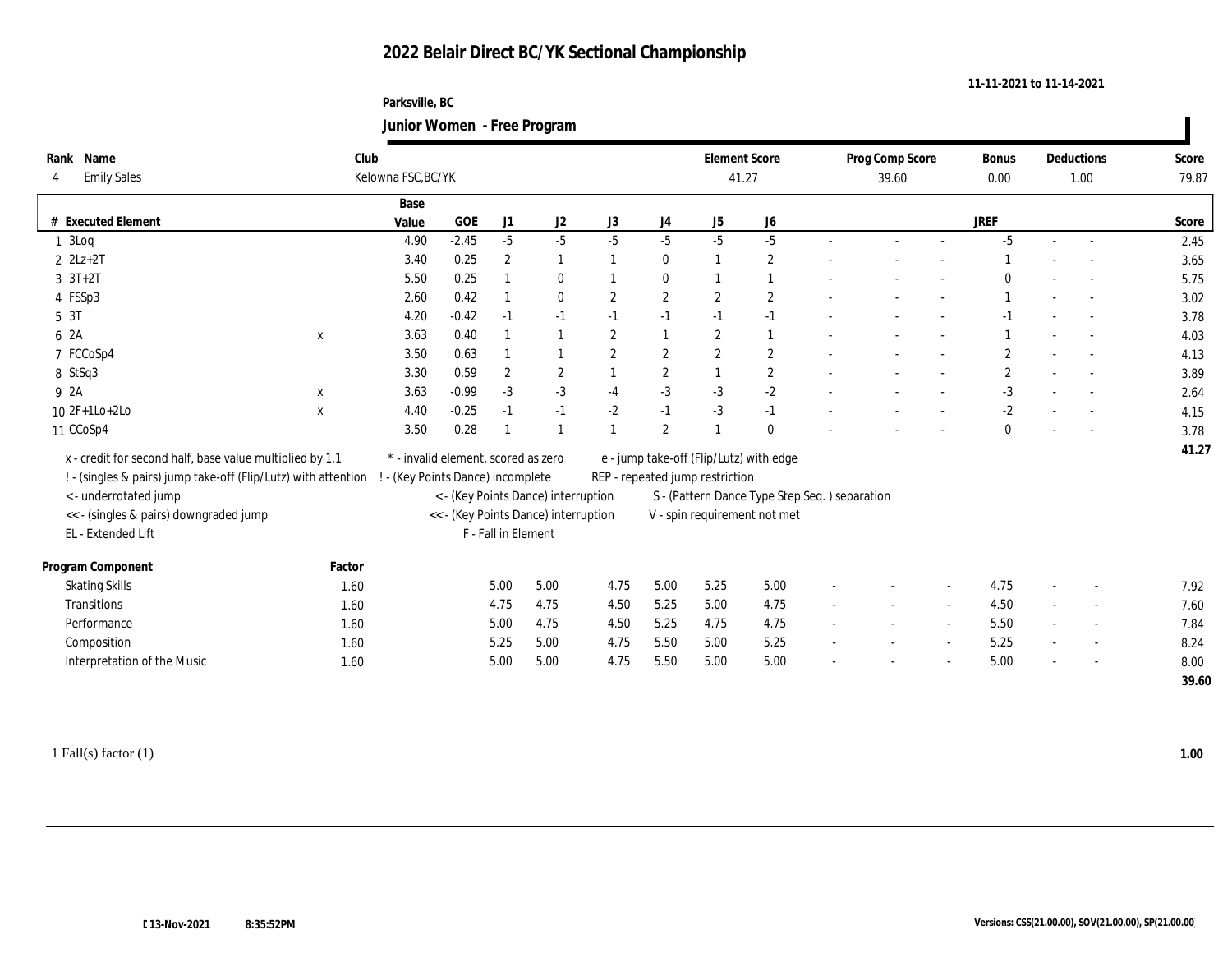### **Parksville, BC Junior Women - Free Program**

| Rank Name<br><b>Emily Sales</b><br>4                                                                                       | Club         | Kelowna FSC, BC/YK                                                       |                                      |                     |                  |                  |                  | <b>Element Score</b><br>41.27                                              |                                               |                          | Prog Comp Score<br>39.60 |        | <b>Bonus</b><br>0.00 |        | <b>Deductions</b><br>1.00 | Score<br>79.87 |
|----------------------------------------------------------------------------------------------------------------------------|--------------|--------------------------------------------------------------------------|--------------------------------------|---------------------|------------------|------------------|------------------|----------------------------------------------------------------------------|-----------------------------------------------|--------------------------|--------------------------|--------|----------------------|--------|---------------------------|----------------|
|                                                                                                                            |              | Base                                                                     |                                      |                     |                  |                  |                  |                                                                            |                                               |                          |                          |        |                      |        |                           |                |
| <b>Executed Element</b>                                                                                                    |              | Value                                                                    | GOE                                  | J1                  | $\mathrm{J}2$    | J3               | J4               | J5                                                                         | J6                                            |                          |                          |        | <b>JREF</b>          |        |                           | Score          |
| 13Log                                                                                                                      |              | 4.90                                                                     | $-2.45$                              | $-5$                | $-5$             | $-5$             | $-5$             | $-5$                                                                       | $-5$                                          |                          |                          | $\sim$ | $-5$                 | $\sim$ |                           | 2.45           |
| $2 \text{ } 2Lz + 2T$                                                                                                      |              | 3.40                                                                     | 0.25                                 | $\boldsymbol{2}$    | 1                |                  | $\bf{0}$         |                                                                            | $\boldsymbol{2}$                              |                          |                          |        |                      |        |                           | 3.65           |
| $3 \t3T+2T$                                                                                                                |              | 5.50                                                                     | 0.25                                 |                     | $\bf{0}$         |                  | $\bf{0}$         |                                                                            | 1                                             |                          |                          |        |                      |        |                           | 5.75           |
| 4 FSSp3                                                                                                                    |              | 2.60                                                                     | 0.42                                 |                     | $\bf{0}$         | $\overline{2}$   | $\boldsymbol{2}$ | $\overline{2}$                                                             | $\boldsymbol{2}$                              |                          |                          |        |                      |        |                           | 3.02           |
| 5 3T                                                                                                                       |              | 4.20                                                                     | $-0.42$                              | $-1$                | $-1$             | $-1$             | $-1$             | $-1$                                                                       | $-1$                                          |                          |                          |        | $-1$                 |        |                           | 3.78           |
| 6 2A                                                                                                                       | $\mathbf X$  | 3.63                                                                     | 0.40                                 |                     |                  | $\overline{2}$   | $\overline{1}$   | $\overline{2}$                                                             | 1                                             |                          |                          |        |                      |        |                           | 4.03           |
| 7 FCCoSp4                                                                                                                  |              | 3.50                                                                     | 0.63                                 |                     |                  | $\boldsymbol{2}$ | $\mathbf{2}$     | $\mathbf{2}$                                                               | $\boldsymbol{2}$                              |                          |                          |        | $\overline{2}$       |        |                           | 4.13           |
| 8 StSq3                                                                                                                    |              | 3.30                                                                     | 0.59                                 | $\overline{2}$      | $\boldsymbol{2}$ |                  | $\boldsymbol{2}$ |                                                                            | $\mathbf{2}$                                  |                          |                          | $\sim$ | $\overline{2}$       |        | $\sim$                    | 3.89           |
| 9 2A                                                                                                                       | $\mathbf x$  | 3.63                                                                     | $-0.99$                              | $-3$                | $-3$             | $-4$             | $-3$             | $-3$                                                                       | $^{\text{{\small -2}}}$                       |                          |                          |        | $-3$                 |        |                           | 2.64           |
| 10 2F+1Lo+2Lo                                                                                                              | $\mathbf{x}$ | 4.40                                                                     | $-0.25$                              | $-1$                | $-1$             | $-2$             | $-1$             | $-3$                                                                       | $-1$                                          |                          |                          |        | $-2$                 |        |                           | 4.15           |
| 11 CCoSp4                                                                                                                  |              | 3.50                                                                     | 0.28                                 |                     |                  |                  | $\sqrt{2}$       |                                                                            | $\bf{0}$                                      |                          |                          |        | $\mathbf{0}$         |        |                           | 3.78           |
| x - credit for second half, base value multiplied by 1.1<br>! - (singles & pairs) jump take-off (Flip/Lutz) with attention |              | * - invalid element, scored as zero<br>! - (Key Points Dance) incomplete |                                      |                     |                  |                  |                  | e - jump take-off (Flip/Lutz) with edge<br>REP - repeated jump restriction |                                               |                          |                          |        |                      |        |                           | 41.27          |
| <- underrotated jump                                                                                                       |              |                                                                          | < - (Key Points Dance) interruption  |                     |                  |                  |                  |                                                                            | S - (Pattern Dance Type Step Seq.) separation |                          |                          |        |                      |        |                           |                |
| << - (singles & pairs) downgraded jump                                                                                     |              |                                                                          | << - (Key Points Dance) interruption |                     |                  |                  |                  |                                                                            | V - spin requirement not met                  |                          |                          |        |                      |        |                           |                |
| EL - Extended Lift                                                                                                         |              |                                                                          |                                      | F - Fall in Element |                  |                  |                  |                                                                            |                                               |                          |                          |        |                      |        |                           |                |
| Program Component                                                                                                          | Factor       |                                                                          |                                      |                     |                  |                  |                  |                                                                            |                                               |                          |                          |        |                      |        |                           |                |
| <b>Skating Skills</b>                                                                                                      | 1.60         |                                                                          |                                      | 5.00                | 5.00             | 4.75             | 5.00             | 5.25                                                                       | 5.00                                          |                          |                          | $\sim$ | 4.75                 | $\sim$ |                           | 7.92           |
| Transitions                                                                                                                | 1.60         |                                                                          |                                      | 4.75                | 4.75             | 4.50             | 5.25             | 5.00                                                                       | 4.75                                          |                          |                          | $\sim$ | 4.50                 |        |                           | 7.60           |
| Performance                                                                                                                | 1.60         |                                                                          |                                      | 5.00                | 4.75             | 4.50             | 5.25             | 4.75                                                                       | 4.75                                          | $\overline{\phantom{a}}$ |                          | $\sim$ | 5.50                 | $\sim$ | $\overline{\phantom{a}}$  | 7.84           |
| Composition                                                                                                                | 1.60         |                                                                          |                                      | 5.25                | 5.00             | 4.75             | 5.50             | 5.00                                                                       | 5.25                                          |                          |                          | $\sim$ | 5.25                 | $\sim$ |                           | 8.24           |
| Interpretation of the Music                                                                                                | 1.60         |                                                                          |                                      | 5.00                | 5.00             | 4.75             | 5.50             | 5.00                                                                       | 5.00                                          |                          |                          |        | 5.00                 |        |                           | 8.00           |
|                                                                                                                            |              |                                                                          |                                      |                     |                  |                  |                  |                                                                            |                                               |                          |                          |        |                      |        |                           | 39.60          |

**11-11-2021 to 11-14-2021**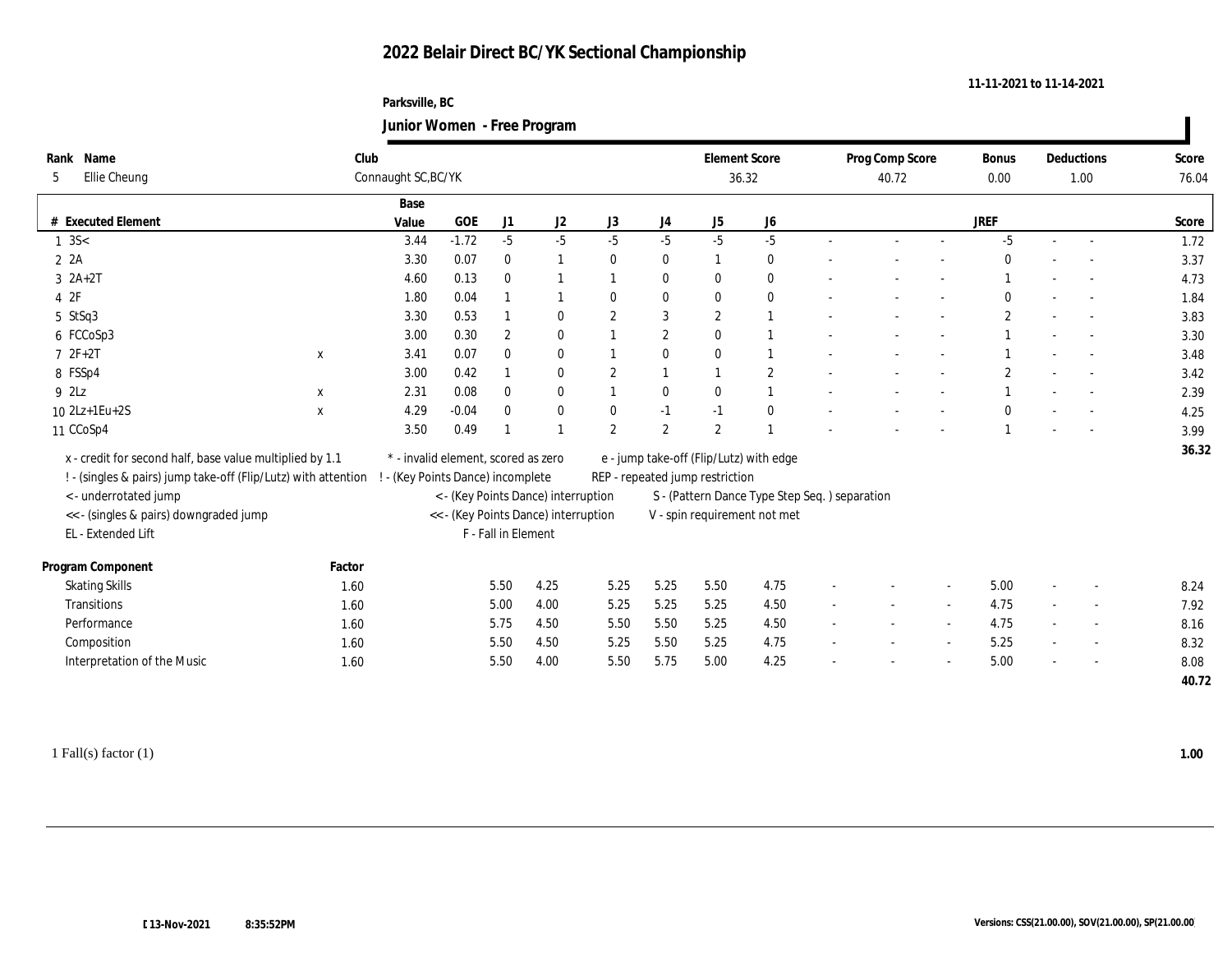#### **Parksville, BC Junior Women - Free Program**

|                                                                |             | $\ldots$                            |            |                     |                                      |                  |                  |                                 |                                               |                              |                 |                          |              |        |                          |       |
|----------------------------------------------------------------|-------------|-------------------------------------|------------|---------------------|--------------------------------------|------------------|------------------|---------------------------------|-----------------------------------------------|------------------------------|-----------------|--------------------------|--------------|--------|--------------------------|-------|
| Rank Name                                                      | Club        |                                     |            |                     |                                      |                  |                  | <b>Element Score</b>            |                                               |                              | Prog Comp Score |                          | Bonus        |        | Deductions               | Score |
| Ellie Cheung<br>5                                              |             | Connaught SC, BC/YK                 |            |                     |                                      |                  |                  |                                 | 36.32                                         |                              | 40.72           |                          | 0.00         |        | 1.00                     | 76.04 |
|                                                                |             | Base                                |            |                     |                                      |                  |                  |                                 |                                               |                              |                 |                          |              |        |                          |       |
| <b>Executed Element</b><br>#                                   |             | Value                               | <b>GOE</b> | J1                  | J <sub>2</sub>                       | J3               | J4               | J5                              | J6                                            |                              |                 |                          | <b>JREF</b>  |        |                          | Score |
| $1 \, 3S <$                                                    |             | 3.44                                | $-1.72$    | $-5$                | $-5$                                 | $-5$             | $-5$             | $-5$                            | $-5$                                          |                              |                 | $\sim$                   | $-5$         | $\sim$ | $\sim$                   | 1.72  |
| 2A                                                             |             | 3.30                                | 0.07       | $\mathbf{0}$        |                                      | $\bf{0}$         | $\bf{0}$         | -1                              | $\bf{0}$                                      |                              |                 |                          |              |        |                          | 3.37  |
| $3 \text{ } 2\text{A}+2\text{T}$                               |             | 4.60                                | 0.13       | $\mathbf{0}$        |                                      |                  | $\bf{0}$         | $\mathbf{0}$                    | $\bf{0}$                                      |                              |                 | $\sim$                   |              | $\sim$ |                          | 4.73  |
| 4 2F                                                           |             | 1.80                                | 0.04       |                     |                                      | $\theta$         | $\bf{0}$         | $\mathbf{0}$                    | $\bf{0}$                                      |                              |                 | $\overline{\phantom{a}}$ | $\mathbf{0}$ |        | $\sim$                   | 1.84  |
| 5 StSq3                                                        |             | 3.30                                | 0.53       |                     | $\bf{0}$                             | 2                | 3                | $\mathbf{2}$                    | $\mathbf{1}$                                  |                              |                 | $\sim$                   | $\mathbf{2}$ |        | $\sim$                   | 3.83  |
| 6 FCCoSp3                                                      |             | 3.00                                | 0.30       | $\overline{2}$      | $\mathbf{0}$                         |                  | $\overline{2}$   | $\mathbf{0}$                    |                                               |                              |                 |                          |              |        |                          | 3.30  |
| $72F+2T$                                                       | $\mathbf X$ | 3.41                                | 0.07       | $\mathbf{0}$        | $\mathbf{0}$                         |                  | $\bf{0}$         | $\bf{0}$                        |                                               |                              |                 | $\sim$                   |              | $\sim$ | $\sim$                   | 3.48  |
| 8 FSSp4                                                        |             | 3.00                                | 0.42       |                     | $\bf{0}$                             | $\boldsymbol{2}$ | $\mathbf{1}$     |                                 | $\sqrt{2}$                                    |                              |                 | $\overline{\phantom{a}}$ | $\mathbf{2}$ |        | $\sim$                   | 3.42  |
| 9 2Lz                                                          | X           | 2.31                                | 0.08       | $\bf{0}$            | $\boldsymbol{0}$                     |                  | $\boldsymbol{0}$ | $\bf{0}$                        |                                               |                              |                 | $\overline{\phantom{a}}$ |              |        |                          | 2.39  |
| 10 2Lz+1Eu+2S                                                  | $\mathbf x$ | 4.29                                | $-0.04$    | $\mathbf{0}$        | $\bf{0}$                             | $\mathbf{0}$     | $-1$             | $-1$                            | $\bf{0}$                                      |                              |                 |                          |              |        |                          | 4.25  |
| 11 CCoSp4                                                      |             | 3.50                                | 0.49       |                     |                                      | $\boldsymbol{2}$ | $\sqrt{2}$       | $\boldsymbol{2}$                |                                               |                              |                 |                          |              |        |                          | 3.99  |
| x - credit for second half, base value multiplied by 1.1       |             | * - invalid element, scored as zero |            |                     |                                      |                  |                  |                                 | e - jump take-off (Flip/Lutz) with edge       |                              |                 |                          |              |        |                          | 36.32 |
| ! - (singles & pairs) jump take-off (Flip/Lutz) with attention |             | - (Key Points Dance) incomplete     |            |                     |                                      |                  |                  | REP - repeated jump restriction |                                               |                              |                 |                          |              |        |                          |       |
| <- underrotated jump                                           |             |                                     |            |                     | < - (Key Points Dance) interruption  |                  |                  |                                 | S - (Pattern Dance Type Step Seq.) separation |                              |                 |                          |              |        |                          |       |
| << - (singles & pairs) downgraded jump                         |             |                                     |            |                     | << - (Key Points Dance) interruption |                  |                  |                                 | V - spin requirement not met                  |                              |                 |                          |              |        |                          |       |
| EL - Extended Lift                                             |             |                                     |            | F - Fall in Element |                                      |                  |                  |                                 |                                               |                              |                 |                          |              |        |                          |       |
|                                                                |             |                                     |            |                     |                                      |                  |                  |                                 |                                               |                              |                 |                          |              |        |                          |       |
| Program Component                                              | Factor      |                                     |            |                     |                                      |                  |                  |                                 |                                               |                              |                 |                          |              |        |                          |       |
| <b>Skating Skills</b>                                          | 1.60        |                                     |            | 5.50                | 4.25                                 | 5.25             | 5.25             | 5.50                            | 4.75                                          |                              |                 | $\sim$                   | 5.00         | $\sim$ |                          | 8.24  |
| Transitions                                                    | 1.60        |                                     |            | 5.00                | 4.00                                 | 5.25             | 5.25             | 5.25                            | 4.50                                          |                              |                 | $\overline{\phantom{a}}$ | 4.75         |        |                          | 7.92  |
| Performance                                                    | 1.60        |                                     |            | 5.75                | 4.50                                 | 5.50             | 5.50             | 5.25                            | 4.50                                          | $\qquad \qquad \blacksquare$ | $\sim$          | $\sim$                   | 4.75         | $\sim$ | $\overline{\phantom{a}}$ | 8.16  |
| Composition                                                    | 1.60        |                                     |            | 5.50                | 4.50                                 | 5.25             | 5.50             | 5.25                            | 4.75                                          | $\overline{\phantom{a}}$     |                 | $\sim$                   | 5.25         | $\sim$ | $\sim$                   | 8.32  |
| Interpretation of the Music                                    | 1.60        |                                     |            | 5.50                | 4.00                                 | 5.50             | 5.75             | 5.00                            | 4.25                                          |                              |                 | $\overline{a}$           | 5.00         | $\sim$ |                          | 8.08  |
|                                                                |             |                                     |            |                     |                                      |                  |                  |                                 |                                               |                              |                 |                          |              |        |                          | 40.72 |
|                                                                |             |                                     |            |                     |                                      |                  |                  |                                 |                                               |                              |                 |                          |              |        |                          |       |

1 Fall(s) factor (1) **1.00**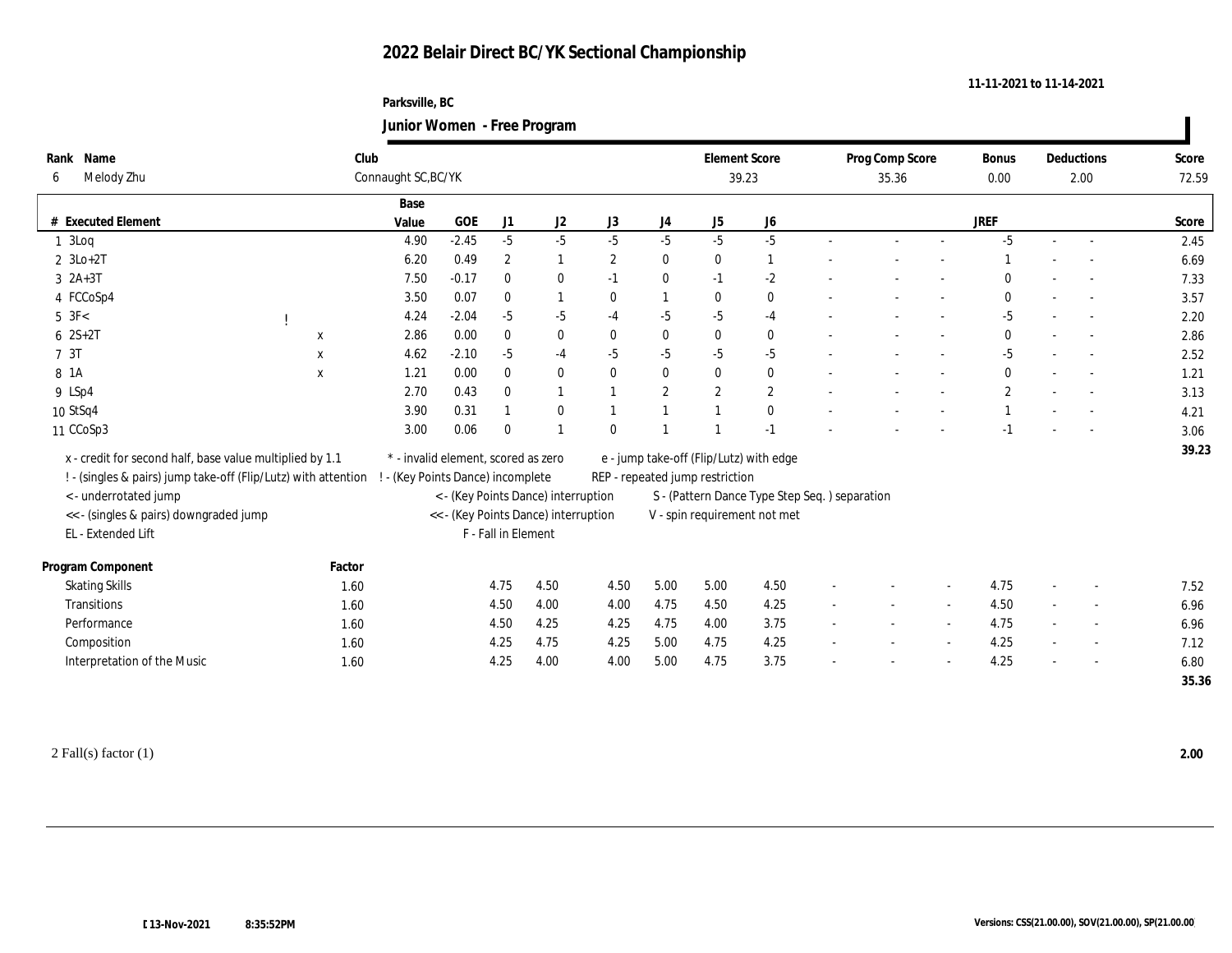#### **Parksville, BC Junior Women - Free Program**

|                                                                |              | $\ldots$                            |            |                     |                                      |                |            |                                 |                                               |        |                 |        |                |        |                          |       |
|----------------------------------------------------------------|--------------|-------------------------------------|------------|---------------------|--------------------------------------|----------------|------------|---------------------------------|-----------------------------------------------|--------|-----------------|--------|----------------|--------|--------------------------|-------|
| Rank Name                                                      | Club         |                                     |            |                     |                                      |                |            | <b>Element Score</b>            |                                               |        | Prog Comp Score |        | Bonus          |        | Deductions               | Score |
| Melody Zhu<br>6                                                |              | Connaught SC, BC/YK                 |            |                     |                                      |                |            |                                 | 39.23                                         |        | 35.36           |        | 0.00           |        | 2.00                     | 72.59 |
|                                                                |              | Base                                |            |                     |                                      |                |            |                                 |                                               |        |                 |        |                |        |                          |       |
| # Executed Element                                             |              | Value                               | <b>GOE</b> | J1                  | J <sub>2</sub>                       | J3             | J4         | J5                              | J <sub>6</sub>                                |        |                 |        | <b>JREF</b>    |        |                          | Score |
| 13Log                                                          |              | 4.90                                | $-2.45$    | $-5$                | $-5$                                 | $-5$           | $-5$       | $-5$                            | $-5$                                          | $\sim$ | $\sim$          | $\sim$ | $-5$           | $\sim$ | $\sim$                   | 2.45  |
| $2 \text{ } 3\text{Lo}+2\text{T}$                              |              | 6.20                                | 0.49       | $\boldsymbol{2}$    |                                      | $\overline{2}$ | $\bf{0}$   | $\bf{0}$                        | $\overline{1}$                                |        |                 |        |                |        |                          | 6.69  |
| $3 \ \ 2A+3T$                                                  |              | 7.50                                | $-0.17$    | $\bf{0}$            | $\bf{0}$                             | $-1$           | $\bf{0}$   | $-1$                            | $-2$                                          |        |                 |        | $\theta$       | $\sim$ |                          | 7.33  |
| 4 FCCoSp4                                                      |              | 3.50                                | 0.07       | $\mathbf{0}$        |                                      | $\mathbf{0}$   |            | $\bf{0}$                        | $\bf{0}$                                      |        |                 |        | $\mathbf{0}$   |        | $\sim$                   | 3.57  |
| $5 \text{ } 3F<$                                               |              | 4.24                                | $-2.04$    | $-5$                | $-5$                                 | $-4$           | $-5$       | $-5$                            | $-4$                                          |        |                 |        | $-5$           |        |                          | 2.20  |
| $6 \ 2S + 2T$                                                  | X            | 2.86                                | 0.00       | $\mathbf{0}$        | $\bf{0}$                             | $\mathbf{0}$   | $\bf{0}$   | $\mathbf{0}$                    | $\bf{0}$                                      |        |                 |        | $\mathbf{0}$   |        |                          | 2.86  |
| 7 3T                                                           | $\mathbf X$  | 4.62                                | $-2.10$    | $-5$                | $-4$                                 | $-5$           | $-5$       | $-5$                            | $-5$                                          |        |                 | $\sim$ | $-5$           |        |                          | 2.52  |
| 8 1 A                                                          | $\mathbf{x}$ | 1.21                                | 0.00       | $\mathbf{0}$        | $\bf{0}$                             | $\mathbf{0}$   | $\bf{0}$   | $\mathbf{0}$                    | $\bf{0}$                                      |        |                 | $\sim$ | $\mathbf{0}$   |        | $\overline{\phantom{a}}$ | 1.21  |
| 9 LSp4                                                         |              | 2.70                                | 0.43       | $\mathbf{0}$        |                                      |                | $\sqrt{2}$ | $\mathbf{2}$                    | $\sqrt{2}$                                    |        |                 |        | $\overline{2}$ |        |                          | 3.13  |
| 10 StSq4                                                       |              | 3.90                                | 0.31       |                     | $\boldsymbol{0}$                     |                |            |                                 | $\mathbf{0}$                                  |        |                 |        |                |        |                          | 4.21  |
| 11 CCoSp3                                                      |              | 3.00                                | 0.06       | $\theta$            |                                      | $\theta$       |            |                                 | $-1$                                          |        |                 |        |                |        |                          | 3.06  |
| x - credit for second half, base value multiplied by 1.1       |              | * - invalid element, scored as zero |            |                     |                                      |                |            |                                 | e - jump take-off (Flip/Lutz) with edge       |        |                 |        |                |        |                          | 39.23 |
| ! - (singles & pairs) jump take-off (Flip/Lutz) with attention |              | ! - (Key Points Dance) incomplete   |            |                     |                                      |                |            | REP - repeated jump restriction |                                               |        |                 |        |                |        |                          |       |
| <- underrotated jump                                           |              |                                     |            |                     | < - (Key Points Dance) interruption  |                |            |                                 | S - (Pattern Dance Type Step Seq.) separation |        |                 |        |                |        |                          |       |
| << - (singles & pairs) downgraded jump                         |              |                                     |            |                     | << - (Key Points Dance) interruption |                |            |                                 | V - spin requirement not met                  |        |                 |        |                |        |                          |       |
| EL - Extended Lift                                             |              |                                     |            | F - Fall in Element |                                      |                |            |                                 |                                               |        |                 |        |                |        |                          |       |
|                                                                |              |                                     |            |                     |                                      |                |            |                                 |                                               |        |                 |        |                |        |                          |       |
| Program Component                                              | Factor       |                                     |            |                     |                                      |                |            |                                 |                                               |        |                 |        |                |        |                          |       |
| <b>Skating Skills</b>                                          | 1.60         |                                     |            | 4.75                | 4.50                                 | 4.50           | 5.00       | 5.00                            | 4.50                                          |        |                 |        | 4.75           | $\sim$ |                          | 7.52  |
| Transitions                                                    | 1.60         |                                     |            | 4.50                | 4.00                                 | 4.00           | 4.75       | 4.50                            | 4.25                                          |        |                 |        | 4.50           |        |                          | 6.96  |
| Performance                                                    | 1.60         |                                     |            | 4.50                | 4.25                                 | 4.25           | 4.75       | 4.00                            | 3.75                                          | $\sim$ |                 | $\sim$ | 4.75           | $\sim$ |                          | 6.96  |
| Composition                                                    | 1.60         |                                     |            | 4.25                | 4.75                                 | 4.25           | 5.00       | 4.75                            | 4.25                                          |        |                 | $\sim$ | 4.25           |        | $\sim$                   | 7.12  |
| Interpretation of the Music                                    | 1.60         |                                     |            | 4.25                | 4.00                                 | 4.00           | 5.00       | 4.75                            | 3.75                                          |        |                 |        | 4.25           |        |                          | 6.80  |
|                                                                |              |                                     |            |                     |                                      |                |            |                                 |                                               |        |                 |        |                |        |                          | 35.36 |
|                                                                |              |                                     |            |                     |                                      |                |            |                                 |                                               |        |                 |        |                |        |                          |       |

**11-11-2021 to 11-14-2021**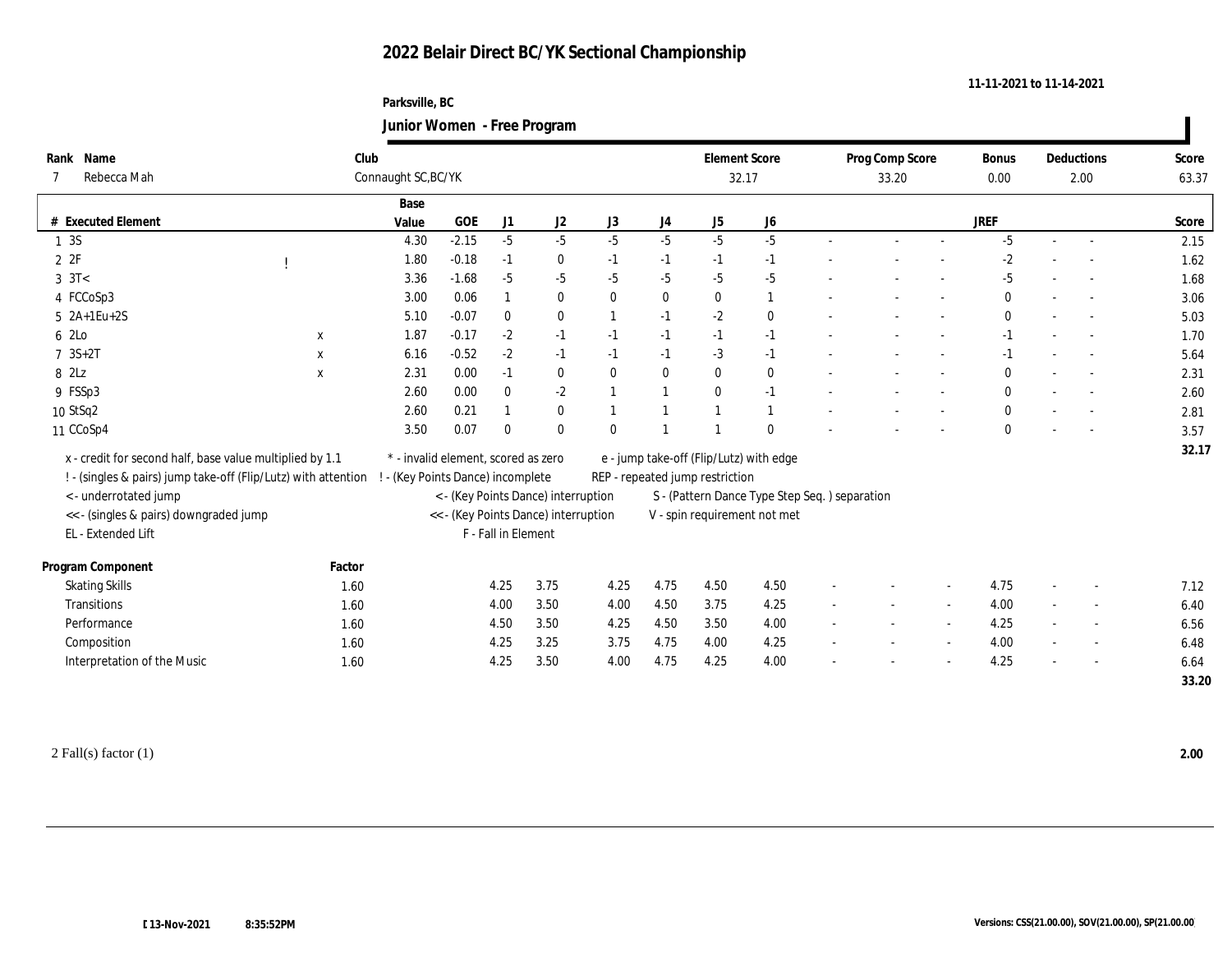### **Parksville, BC Junior Women - Free Program**

|                  | Rank Name                                                      | Club         |                                     |            |                     | ັ                                    |                |              | <b>Element Score</b>            |                                               | Prog Comp Score |                          | Bonus        |        | Deductions               | Score |
|------------------|----------------------------------------------------------------|--------------|-------------------------------------|------------|---------------------|--------------------------------------|----------------|--------------|---------------------------------|-----------------------------------------------|-----------------|--------------------------|--------------|--------|--------------------------|-------|
|                  | Rebecca Mah                                                    |              | Connaught SC, BC/YK                 |            |                     |                                      |                |              |                                 | 32.17                                         | 33.20           |                          | 0.00         |        | 2.00                     | 63.37 |
|                  |                                                                |              | Base                                |            |                     |                                      |                |              |                                 |                                               |                 |                          |              |        |                          |       |
| #                | <b>Executed Element</b>                                        |              | Value                               | <b>GOE</b> | J1                  | J <sub>2</sub>                       | J3             | J4           | ${\rm J}5$                      | J <sub>6</sub>                                |                 |                          | <b>JREF</b>  |        |                          | Score |
| 1 3S             |                                                                |              | 4.30                                | $-2.15$    | $-5$                | $-5$                                 | $-5$           | $-5$         | $-5$                            | $-5$                                          |                 | $\sim$                   | $-5$         | $\sim$ |                          | 2.15  |
| 2Z               |                                                                |              | 1.80                                | $-0.18$    | $-1$                | $\bf{0}$                             | $-1$           | $-1$         | $-1$                            | $-1$                                          |                 |                          | $-2$         |        |                          | 1.62  |
| $3 \text{ } 3T<$ |                                                                |              | 3.36                                | $-1.68$    | $-5$                | $-5$                                 | $-5$           | $-5$         | $-5$                            | $-5$                                          |                 | $\overline{\phantom{a}}$ | $-5$         |        |                          | 1.68  |
|                  | 4 FCCoSp3                                                      |              | 3.00                                | 0.06       | $\mathbf{1}$        | $\bf{0}$                             | $\bf{0}$       | $\bf{0}$     | $\bf{0}$                        | 1                                             |                 |                          | $\mathbf{0}$ |        |                          | 3.06  |
|                  | 5 2A+1Eu+2S                                                    |              | 5.10                                | $-0.07$    | $\bf{0}$            | $\bf{0}$                             | $\overline{1}$ | $-1$         | $-2$                            | $\bf{0}$                                      |                 | $\overline{\phantom{a}}$ | $\Omega$     | $\sim$ |                          | 5.03  |
| 6 2Lo            |                                                                | X            | 1.87                                | $-0.17$    | $-2$                | $-1$                                 | $-1$           | $-1$         | $-1$                            | $-1$                                          |                 |                          | $-1$         |        |                          | 1.70  |
|                  | $7 \, 3S + 2T$                                                 | $\mathbf{x}$ | 6.16                                | $-0.52$    | $-2$                | $-1$                                 | $-1$           | $-1$         | $-3$                            | $-1$                                          |                 | $\sim$                   | $-1$         | $\sim$ | $\sim$                   | 5.64  |
| 8 2Lz            |                                                                | X            | 2.31                                | 0.00       | $-1$                | $\bf{0}$                             | $\mathbf{0}$   | $\bf{0}$     | $\bf{0}$                        | $\bf{0}$                                      |                 | $\overline{\phantom{a}}$ | $\mathbf{0}$ |        | $\sim$                   | 2.31  |
|                  | 9 FSSp3                                                        |              | 2.60                                | 0.00       | $\bf{0}$            | $-2$                                 |                | $\mathbf{1}$ | $\bf{0}$                        | $-1$                                          |                 |                          |              |        |                          | 2.60  |
|                  | 10 StSq2                                                       |              | 2.60                                | 0.21       |                     | $\bf{0}$                             |                |              |                                 |                                               |                 |                          | $\mathbf{0}$ |        | $\overline{\phantom{a}}$ | 2.81  |
|                  | 11 CCoSp4                                                      |              | 3.50                                | 0.07       | $\bf{0}$            | $\bf{0}$                             | $\mathbf{0}$   |              |                                 | $\mathbf{0}$                                  |                 |                          |              |        |                          | 3.57  |
|                  | x - credit for second half, base value multiplied by 1.1       |              | * - invalid element, scored as zero |            |                     |                                      |                |              |                                 | e - jump take-off (Flip/Lutz) with edge       |                 |                          |              |        |                          | 32.17 |
|                  | ! - (singles & pairs) jump take-off (Flip/Lutz) with attention |              | - (Key Points Dance) incomplete     |            |                     |                                      |                |              | REP - repeated jump restriction |                                               |                 |                          |              |        |                          |       |
|                  | <- underrotated jump                                           |              |                                     |            |                     | < - (Key Points Dance) interruption  |                |              |                                 | S - (Pattern Dance Type Step Seq.) separation |                 |                          |              |        |                          |       |
|                  | << - (singles & pairs) downgraded jump                         |              |                                     |            |                     | << - (Key Points Dance) interruption |                |              |                                 | V - spin requirement not met                  |                 |                          |              |        |                          |       |
|                  | EL - Extended Lift                                             |              |                                     |            | F - Fall in Element |                                      |                |              |                                 |                                               |                 |                          |              |        |                          |       |
|                  | Program Component                                              | Factor       |                                     |            |                     |                                      |                |              |                                 |                                               |                 |                          |              |        |                          |       |
|                  | <b>Skating Skills</b>                                          | 1.60         |                                     |            | 4.25                | 3.75                                 | 4.25           | 4.75         | 4.50                            | 4.50                                          |                 |                          | 4.75         | $\sim$ |                          | 7.12  |
|                  | Transitions                                                    | 1.60         |                                     |            | 4.00                | 3.50                                 | 4.00           | 4.50         | 3.75                            | 4.25                                          |                 | $\sim$                   | 4.00         |        |                          | 6.40  |
|                  | Performance                                                    | 1.60         |                                     |            | 4.50                | 3.50                                 | 4.25           | 4.50         | 3.50                            | 4.00                                          |                 | $\sim$                   | 4.25         | $\sim$ | $\overline{\phantom{a}}$ | 6.56  |
|                  | Composition                                                    | 1.60         |                                     |            | 4.25                | 3.25                                 | 3.75           | 4.75         | 4.00                            | 4.25                                          |                 | $\sim$                   | 4.00         | $\sim$ |                          | 6.48  |
|                  | Interpretation of the Music                                    | 1.60         |                                     |            | 4.25                | 3.50                                 | 4.00           | 4.75         | 4.25                            | 4.00                                          |                 |                          | 4.25         |        |                          | 6.64  |
|                  |                                                                |              |                                     |            |                     |                                      |                |              |                                 |                                               |                 |                          |              |        |                          | 33.20 |

**11-11-2021 to 11-14-2021**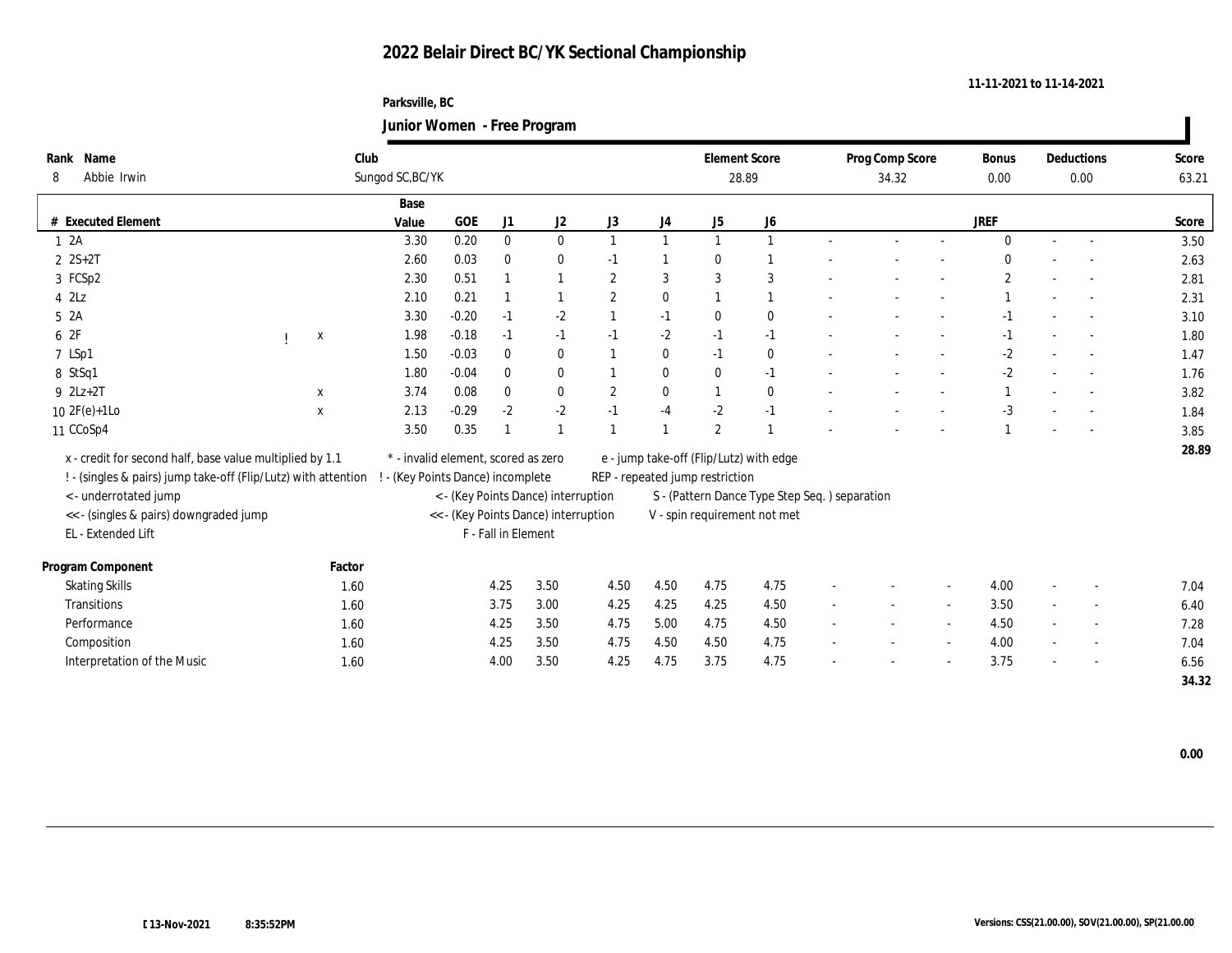### **Parksville, BC Junior Women - Free Program**

|      |                                                                |              |                                           |         |                     | ັ                                    |                  |              |                                 |                                               |                          |                          |        |                      |        |                          |                |
|------|----------------------------------------------------------------|--------------|-------------------------------------------|---------|---------------------|--------------------------------------|------------------|--------------|---------------------------------|-----------------------------------------------|--------------------------|--------------------------|--------|----------------------|--------|--------------------------|----------------|
| 8    | Rank Name<br>Abbie Irwin                                       |              | Club<br>Sungod SC, BC/YK                  |         |                     |                                      |                  |              | <b>Element Score</b>            | 28.89                                         |                          | Prog Comp Score<br>34.32 |        | <b>Bonus</b><br>0.00 |        | <b>Deductions</b>        | Score<br>63.21 |
|      |                                                                |              |                                           |         |                     |                                      |                  |              |                                 |                                               |                          |                          |        |                      |        | 0.00                     |                |
|      |                                                                |              | Base                                      |         |                     |                                      |                  |              |                                 |                                               |                          |                          |        |                      |        |                          |                |
| #    | <b>Executed Element</b>                                        |              | Value                                     | GOE     | J1                  | J2                                   | J3               | J4           | J5                              | ${\bf J6}$                                    |                          |                          |        | <b>JREF</b>          |        |                          | Score          |
|      | 12A                                                            |              | 3.30                                      | 0.20    | $\bf{0}$            | $\mathbf{0}$                         |                  | $\mathbf{1}$ |                                 | $\mathbf{1}$                                  |                          |                          | $\sim$ | $\Omega$             | $\sim$ | $\sim$                   | 3.50           |
|      | $2 \text{ } 2S+2T$                                             |              | 2.60                                      | 0.03    | $\bf{0}$            | $\bf{0}$                             | $-1$             |              | $\Omega$                        |                                               |                          |                          |        |                      |        |                          | 2.63           |
|      | 3 FCSp2                                                        |              | 2.30                                      | 0.51    |                     | -1                                   | $\overline{2}$   | 3            | 3                               | 3                                             |                          |                          |        | $\mathbf{2}$         |        |                          | 2.81           |
|      | $4$ $2\text{L}z$                                               |              | 2.10                                      | 0.21    |                     |                                      | $\overline{2}$   | $\bf{0}$     |                                 | 1                                             |                          |                          |        |                      |        |                          | 2.31           |
| 52A  |                                                                |              | 3.30                                      | $-0.20$ | $-1$                | $-2$                                 |                  | $-1$         | $\mathbf{0}$                    | $\bf{0}$                                      |                          |                          |        | $-1$                 |        |                          | 3.10           |
| 6 2F |                                                                | X            | 1.98                                      | $-0.18$ | $-1$                | $-1$                                 | $-1$             | $-2$         | $-1$                            | $-1$                                          |                          |                          |        | $-1$                 |        |                          | 1.80           |
|      | 7 LSp1                                                         |              | 1.50                                      | $-0.03$ | $\bf{0}$            | $\bf{0}$                             |                  | $\bf{0}$     | $-1$                            | $\bf{0}$                                      |                          |                          | $\sim$ | $-2$                 | $\sim$ | $\sim$                   | 1.47           |
|      | 8 StSq1                                                        |              | 1.80                                      | $-0.04$ | $\bf{0}$            | $\bf{0}$                             |                  | $\bf{0}$     | $\mathbf{0}$                    | $-1$                                          |                          |                          | $\sim$ | $-2$                 |        |                          | 1.76           |
|      | $9$ $2Lz+2T$                                                   | $\mathbf{x}$ | 3.74                                      | 0.08    | $\mathbf{0}$        | $\bf{0}$                             | $\boldsymbol{2}$ | $\bf{0}$     | 1                               | $\bf{0}$                                      |                          |                          |        |                      |        |                          | 3.82           |
|      | $10 \text{ } 2F(e)+1$ Lo                                       | $\mathbf x$  | 2.13                                      | $-0.29$ | $-2$                | $-2$                                 | $-1$             | $-4$         | $-2$                            | $-1$                                          |                          |                          |        | $-3$                 |        |                          | 1.84           |
|      | 11 CCoSp4                                                      |              | 3.50                                      | 0.35    |                     | $\mathbf{1}$                         |                  |              | $\overline{2}$                  |                                               |                          |                          |        |                      |        |                          | 3.85           |
|      | x - credit for second half, base value multiplied by 1.1       |              | $^\ast$ - invalid element, scored as zero |         |                     |                                      |                  |              |                                 | e - jump take-off (Flip/Lutz) with edge       |                          |                          |        |                      |        |                          | 28.89          |
|      | ! - (singles & pairs) jump take-off (Flip/Lutz) with attention |              | ! - (Key Points Dance) incomplete         |         |                     |                                      |                  |              | REP - repeated jump restriction |                                               |                          |                          |        |                      |        |                          |                |
|      | <- underrotated jump                                           |              |                                           |         |                     | < - (Key Points Dance) interruption  |                  |              |                                 | S - (Pattern Dance Type Step Seq.) separation |                          |                          |        |                      |        |                          |                |
|      | << - (singles & pairs) downgraded jump                         |              |                                           |         |                     | << - (Key Points Dance) interruption |                  |              |                                 | V - spin requirement not met                  |                          |                          |        |                      |        |                          |                |
|      | EL - Extended Lift                                             |              |                                           |         | F - Fall in Element |                                      |                  |              |                                 |                                               |                          |                          |        |                      |        |                          |                |
|      |                                                                |              |                                           |         |                     |                                      |                  |              |                                 |                                               |                          |                          |        |                      |        |                          |                |
|      | Program Component                                              | Factor       |                                           |         |                     |                                      |                  |              |                                 |                                               |                          |                          |        |                      |        |                          |                |
|      | <b>Skating Skills</b>                                          | 1.60         |                                           |         | 4.25                | 3.50                                 | 4.50             | 4.50         | 4.75                            | 4.75                                          |                          |                          |        | 4.00                 |        |                          | 7.04           |
|      | Transitions                                                    | 1.60         |                                           |         | 3.75                | 3.00                                 | 4.25             | 4.25         | 4.25                            | 4.50                                          |                          |                          | $\sim$ | 3.50                 |        |                          | 6.40           |
|      | Performance                                                    | 1.60         |                                           |         | 4.25                | 3.50                                 | 4.75             | 5.00         | 4.75                            | 4.50                                          |                          |                          | $\sim$ | 4.50                 |        | $\overline{\phantom{a}}$ | 7.28           |
|      | Composition                                                    | 1.60         |                                           |         | 4.25                | 3.50                                 | 4.75             | 4.50         | 4.50                            | 4.75                                          | $\overline{\phantom{a}}$ |                          | $\sim$ | 4.00                 | $\sim$ |                          | 7.04           |
|      | Interpretation of the Music                                    | 1.60         |                                           |         | 4.00                | $3.50\,$                             | 4.25             | 4.75         | 3.75                            | 4.75                                          |                          |                          |        | 3.75                 |        |                          | 6.56           |
|      |                                                                |              |                                           |         |                     |                                      |                  |              |                                 |                                               |                          |                          |        |                      |        |                          | 34.32          |

 $\blacksquare$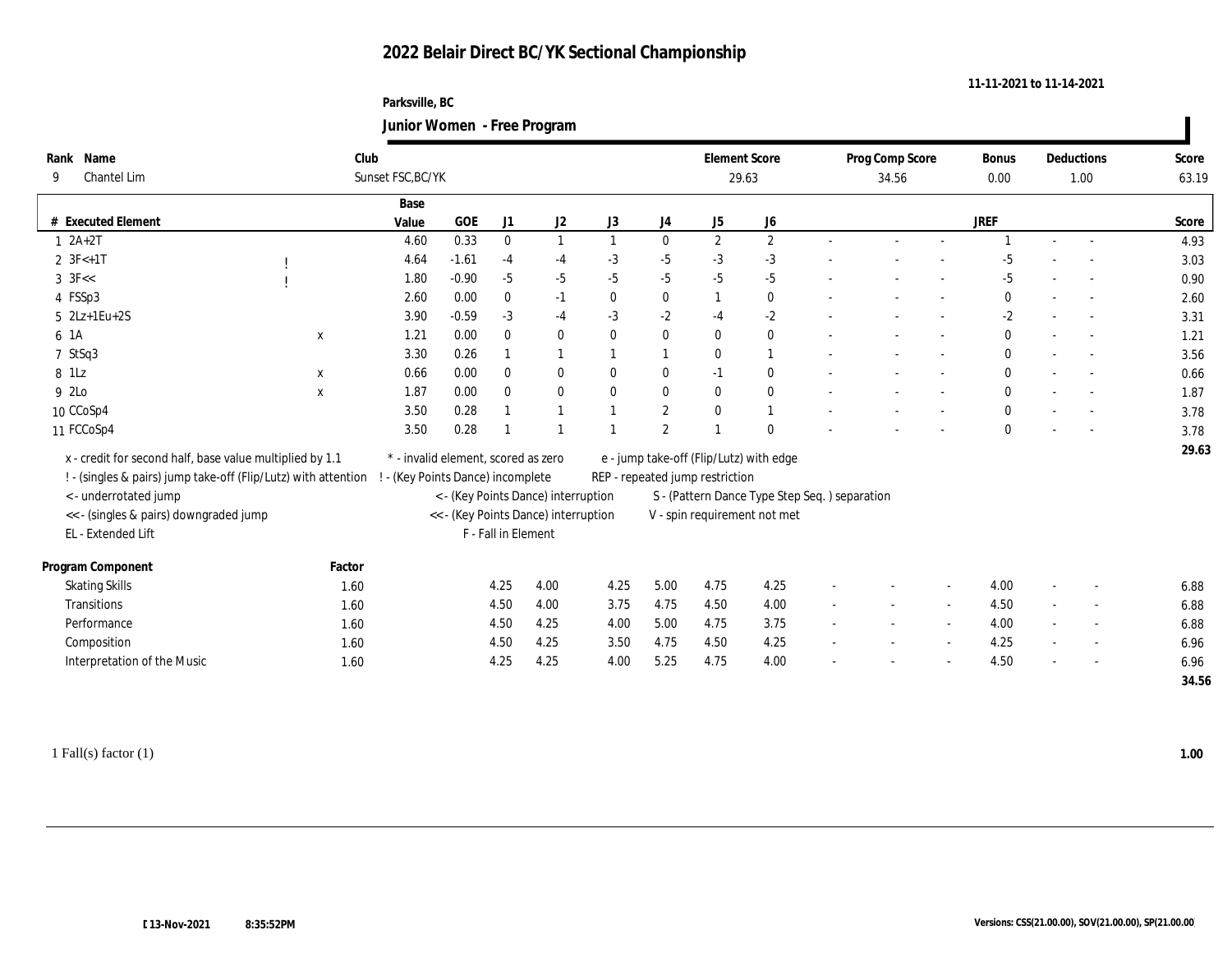### **Parksville, BC Junior Women - Free Program**

|                                                                |             |                                     |              |                     | ്                                    |              |              |                                         |                                               |                 |                          |              |                          |            |       |
|----------------------------------------------------------------|-------------|-------------------------------------|--------------|---------------------|--------------------------------------|--------------|--------------|-----------------------------------------|-----------------------------------------------|-----------------|--------------------------|--------------|--------------------------|------------|-------|
| Name<br>Rank                                                   |             | Club                                |              |                     |                                      |              |              | <b>Element Score</b>                    |                                               | Prog Comp Score |                          | Bonus        |                          | Deductions | Score |
| Chantel Lim<br>9                                               |             | Sunset FSC, BC/YK                   |              |                     |                                      |              |              | 29.63                                   |                                               | 34.56           |                          | 0.00         |                          | 1.00       | 63.19 |
|                                                                |             | Base                                |              |                     |                                      |              |              |                                         |                                               |                 |                          |              |                          |            |       |
| # Executed Element                                             |             | Value                               | $_{\rm GOE}$ | J1                  | J2                                   | J3           | J4           | J <sub>5</sub>                          | J <sub>6</sub>                                |                 |                          | <b>JREF</b>  |                          |            | Score |
| $1 \quad 2A+2T$                                                |             | 4.60                                | 0.33         | $\mathbf{0}$        | $\mathbf{1}$                         | $\mathbf{1}$ | $\bf{0}$     | $\mathbf{2}$                            | $\mathbf{2}$                                  |                 |                          |              |                          |            | 4.93  |
| $2 \text{ } 3F<+1T$                                            |             | 4.64                                | $-1.61$      | $-4$                | $-4$                                 | $-3$         | $-5$         | $-3$                                    | $-3$                                          |                 |                          | -5           |                          |            | 3.03  |
| $3 \text{ } 3\text{F} <<$                                      |             | 1.80                                | $-0.90$      | $-5$                | $-5$                                 | $-5$         | $-5$         | $-5$                                    | $-5$                                          |                 |                          | $-5$         |                          |            | 0.90  |
| 4 FSSp3                                                        |             | 2.60                                | 0.00         | $\bf{0}$            | $-1$                                 | $\bf{0}$     | $\bf{0}$     | -1                                      | $\bf{0}$                                      |                 |                          | $\bf{0}$     |                          |            | 2.60  |
| $5$ $2Lz+1Eu+2S$                                               |             | 3.90                                | $-0.59$      | $-3$                | $-4$                                 | $-3$         | $-2$         | $-4$                                    | $-2$                                          |                 | $\overline{\phantom{a}}$ | $-2$         |                          |            | 3.31  |
| 6 1A                                                           | X           | 1.21                                | 0.00         | $\bf{0}$            | $\bf{0}$                             | $\bf{0}$     | $\bf{0}$     | $\bf{0}$                                | $\bf{0}$                                      |                 |                          | $\bf{0}$     |                          |            | 1.21  |
| 7 StSq3                                                        |             | 3.30                                | 0.26         | 1                   | 1                                    | $\mathbf{1}$ | 1            | $\mathbf{0}$                            | 1                                             |                 | $\overline{\phantom{a}}$ | $\bf{0}$     |                          |            | 3.56  |
| 8 1Lz                                                          | $\mathbf X$ | 0.66                                | 0.00         | $\bf{0}$            | $\bf{0}$                             | $\bf{0}$     | $\bf{0}$     | $-1$                                    | $\bf{0}$                                      |                 |                          | $\bf{0}$     |                          |            | 0.66  |
| 9 2Lo                                                          | $\mathbf x$ | 1.87                                | 0.00         | $\mathbf{0}$        | $\bf{0}$                             | $\mathbf{0}$ | $\bf{0}$     | $\bf{0}$                                | $\bf{0}$                                      |                 | $\overline{\phantom{a}}$ | $\mathbf{0}$ |                          |            | 1.87  |
| 10 CCoSp4                                                      |             | 3.50                                | 0.28         |                     | $\overline{1}$                       |              | $\mathbf{2}$ | $\theta$                                | $\mathbf{1}$                                  |                 |                          | $\mathbf{0}$ |                          |            | 3.78  |
| 11 FCCoSp4                                                     |             | 3.50                                | 0.28         |                     | $\mathbf{1}$                         |              | $\mathbf{2}$ | $\overline{1}$                          | $\theta$                                      |                 |                          | $\mathbf{0}$ |                          |            | 3.78  |
| x - credit for second half, base value multiplied by 1.1       |             | * - invalid element, scored as zero |              |                     |                                      |              |              | e - jump take-off (Flip/Lutz) with edge |                                               |                 |                          |              |                          |            | 29.63 |
| ! - (singles & pairs) jump take-off (Flip/Lutz) with attention |             | ! - (Key Points Dance) incomplete   |              |                     |                                      |              |              | REP - repeated jump restriction         |                                               |                 |                          |              |                          |            |       |
| <- underrotated jump                                           |             |                                     |              |                     | < - (Key Points Dance) interruption  |              |              |                                         | S - (Pattern Dance Type Step Seq.) separation |                 |                          |              |                          |            |       |
| << - (singles & pairs) downgraded jump                         |             |                                     |              |                     | << - (Key Points Dance) interruption |              |              |                                         | V - spin requirement not met                  |                 |                          |              |                          |            |       |
| EL - Extended Lift                                             |             |                                     |              | F - Fall in Element |                                      |              |              |                                         |                                               |                 |                          |              |                          |            |       |
|                                                                |             |                                     |              |                     |                                      |              |              |                                         |                                               |                 |                          |              |                          |            |       |
| Program Component                                              | Factor      |                                     |              |                     |                                      |              |              |                                         |                                               |                 |                          |              |                          |            |       |
| <b>Skating Skills</b>                                          | 1.60        |                                     |              | 4.25                | 4.00                                 | 4.25         | 5.00         | 4.75                                    | 4.25                                          |                 | $\sim$                   | 4.00         | $\overline{\phantom{a}}$ |            | 6.88  |
| Transitions                                                    | 1.60        |                                     |              | 4.50                | 4.00                                 | 3.75         | 4.75         | 4.50                                    | 4.00                                          |                 |                          | 4.50         | $\sim$                   |            | 6.88  |
| Performance                                                    | 1.60        |                                     |              | 4.50                | 4.25                                 | 4.00         | 5.00         | 4.75                                    | 3.75                                          |                 | $\sim$                   | 4.00         |                          |            | 6.88  |
| Composition                                                    | 1.60        |                                     |              | 4.50                | 4.25                                 | 3.50         | 4.75         | 4.50                                    | 4.25                                          |                 | $\overline{\phantom{a}}$ | 4.25         | $\sim$                   | $\sim$     | 6.96  |
| Interpretation of the Music                                    | 1.60        |                                     |              | 4.25                | 4.25                                 | 4.00         | 5.25         | 4.75                                    | 4.00                                          |                 |                          | 4.50         |                          |            | 6.96  |
|                                                                |             |                                     |              |                     |                                      |              |              |                                         |                                               |                 |                          |              |                          |            | 34.56 |
|                                                                |             |                                     |              |                     |                                      |              |              |                                         |                                               |                 |                          |              |                          |            |       |

1 Fall(s) factor (1) **1.00**

**11-11-2021 to 11-14-2021**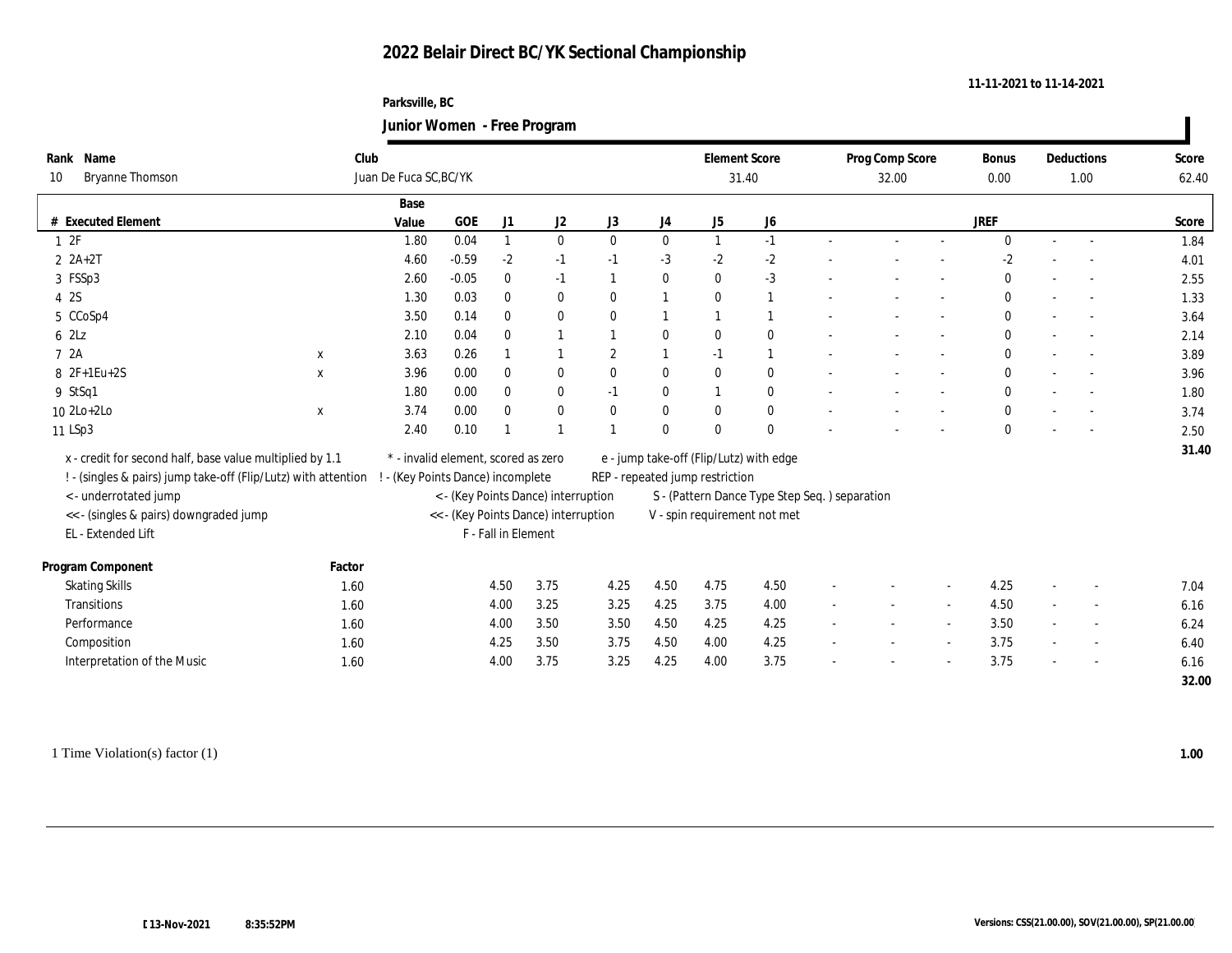#### **Parksville, BC Junior Women - Free Program**

|       |                                                                |             |                                     |         |                     | $\sigma$                             |                |                |                                 |                                               |        |                 |                          |              |        |                |       |
|-------|----------------------------------------------------------------|-------------|-------------------------------------|---------|---------------------|--------------------------------------|----------------|----------------|---------------------------------|-----------------------------------------------|--------|-----------------|--------------------------|--------------|--------|----------------|-------|
| Rank  | Name                                                           |             | Club                                |         |                     |                                      |                |                | <b>Element Score</b>            |                                               |        | Prog Comp Score |                          | Bonus        |        | Deductions     | Score |
| 10    | <b>Bryanne Thomson</b>                                         |             | Juan De Fuca SC, BC/YK              |         |                     |                                      |                |                | 31.40                           |                                               |        | 32.00           |                          | 0.00         |        | 1.00           | 62.40 |
|       |                                                                |             | Base                                |         |                     |                                      |                |                |                                 |                                               |        |                 |                          |              |        |                |       |
|       | # Executed Element                                             |             | Value                               | GOE     | J1                  | J2                                   | J3             | J4             | J <sub>5</sub>                  | ${\bf J6}$                                    |        |                 |                          | <b>JREF</b>  |        |                | Score |
| 1 2F  |                                                                |             | 1.80                                | 0.04    | $\overline{1}$      | $\bf{0}$                             | $\mathbf{0}$   | $\bf{0}$       | $\mathbf{1}$                    | $-1$                                          |        |                 | $\sim$                   | $\mathbf{0}$ | $\sim$ |                | 1.84  |
|       | $2 A+2T$                                                       |             | 4.60                                | $-0.59$ | $-2$                | $-1$                                 | $-1$           | $-3$           | $-2$                            | $-2$                                          |        |                 |                          | $-2$         |        |                | 4.01  |
|       | 3 FSSp3                                                        |             | 2.60                                | $-0.05$ | $\bf{0}$            | $-1$                                 |                | $\bf{0}$       | $\mathbf{0}$                    | $-3$                                          |        |                 |                          | $\bf{0}$     |        |                | 2.55  |
| 4 2S  |                                                                |             | 1.30                                | 0.03    | $\bf{0}$            | $\bf{0}$                             | $\bf{0}$       | $\mathbf{1}$   | $\mathbf{0}$                    | $\mathbf{1}$                                  |        |                 |                          | $\bf{0}$     |        |                | 1.33  |
|       | 5 CCoSp4                                                       |             | 3.50                                | 0.14    | $\mathbf{0}$        | $\bf{0}$                             | $\mathbf{0}$   | $\overline{1}$ | $\overline{1}$                  | $\mathbf{1}$                                  |        |                 |                          | $\mathbf{0}$ |        |                | 3.64  |
| 6 2Lz |                                                                |             | 2.10                                | 0.04    | $\bf{0}$            | -1                                   |                | $\bf{0}$       | $\bf{0}$                        | $\bf{0}$                                      |        |                 |                          | $\bf{0}$     |        |                | 2.14  |
| 7 2A  |                                                                | $\mathbf X$ | 3.63                                | 0.26    |                     |                                      | $\overline{2}$ | $\mathbf{1}$   | $-1$                            | $\mathbf{1}$                                  |        |                 |                          | $\mathbf{0}$ |        |                | 3.89  |
|       | $8 \t2F+1Eu+2S$                                                | $\mathbf x$ | 3.96                                | 0.00    | $\bf{0}$            | $\bf{0}$                             | $\bf{0}$       | $\bf{0}$       | $\bf{0}$                        | $\bf{0}$                                      |        |                 | $\overline{a}$           | $\bf{0}$     |        |                | 3.96  |
|       | 9 StSq1                                                        |             | 1.80                                | 0.00    | $\bf{0}$            | $\bf{0}$                             | $-1$           | $\bf{0}$       | -1                              | $\bf{0}$                                      |        |                 | $\overline{\phantom{a}}$ | $\bf{0}$     |        |                | 1.80  |
|       | $102Lo+2Lo$                                                    | $\mathbf x$ | 3.74                                | 0.00    | $\bf{0}$            | $\bf{0}$                             | $\mathbf{0}$   | $\bf{0}$       | $\mathbf{0}$                    | $\bf{0}$                                      |        |                 |                          | $\bf{0}$     |        |                | 3.74  |
|       | 11 LSp3                                                        |             | 2.40                                | 0.10    |                     | $\overline{1}$                       |                | $\mathbf{0}$   | $\theta$                        | $\mathbf{0}$                                  |        |                 |                          | $\mathbf{0}$ |        |                | 2.50  |
|       | x - credit for second half, base value multiplied by 1.1       |             | * - invalid element, scored as zero |         |                     |                                      |                |                |                                 | e - jump take-off (Flip/Lutz) with edge       |        |                 |                          |              |        |                | 31.40 |
|       | ! - (singles & pairs) jump take-off (Flip/Lutz) with attention |             | ! - (Key Points Dance) incomplete   |         |                     |                                      |                |                | REP - repeated jump restriction |                                               |        |                 |                          |              |        |                |       |
|       | < - underrotated jump                                          |             |                                     |         |                     | < - (Key Points Dance) interruption  |                |                |                                 | S - (Pattern Dance Type Step Seq.) separation |        |                 |                          |              |        |                |       |
|       | << - (singles & pairs) downgraded jump                         |             |                                     |         |                     | << - (Key Points Dance) interruption |                |                |                                 | V - spin requirement not met                  |        |                 |                          |              |        |                |       |
|       | EL - Extended Lift                                             |             |                                     |         | F - Fall in Element |                                      |                |                |                                 |                                               |        |                 |                          |              |        |                |       |
|       | Program Component                                              | Factor      |                                     |         |                     |                                      |                |                |                                 |                                               |        |                 |                          |              |        |                |       |
|       | <b>Skating Skills</b>                                          | 1.60        |                                     |         | 4.50                | 3.75                                 | 4.25           | 4.50           | 4.75                            | 4.50                                          |        |                 |                          | 4.25         |        |                | 7.04  |
|       | <b>Transitions</b>                                             | 1.60        |                                     |         | 4.00                | 3.25                                 | 3.25           | 4.25           | 3.75                            | 4.00                                          |        | $\sim$          | $\sim$                   | 4.50         | $\sim$ | $\overline{a}$ | 6.16  |
|       | Performance                                                    | 1.60        |                                     |         | 4.00                | 3.50                                 | 3.50           | 4.50           | 4.25                            | 4.25                                          |        |                 | $\sim$                   | 3.50         |        |                | 6.24  |
|       | Composition                                                    | 1.60        |                                     |         | 4.25                | 3.50                                 | 3.75           | 4.50           | 4.00                            | 4.25                                          | $\sim$ | $\sim$          | $\sim$                   | 3.75         | $\sim$ | $\overline{a}$ | 6.40  |
|       | Interpretation of the Music                                    | 1.60        |                                     |         | 4.00                | 3.75                                 | 3.25           | 4.25           | 4.00                            | 3.75                                          |        |                 |                          | 3.75         |        |                | 6.16  |
|       |                                                                |             |                                     |         |                     |                                      |                |                |                                 |                                               |        |                 |                          |              |        |                |       |

**11-11-2021 to 11-14-2021**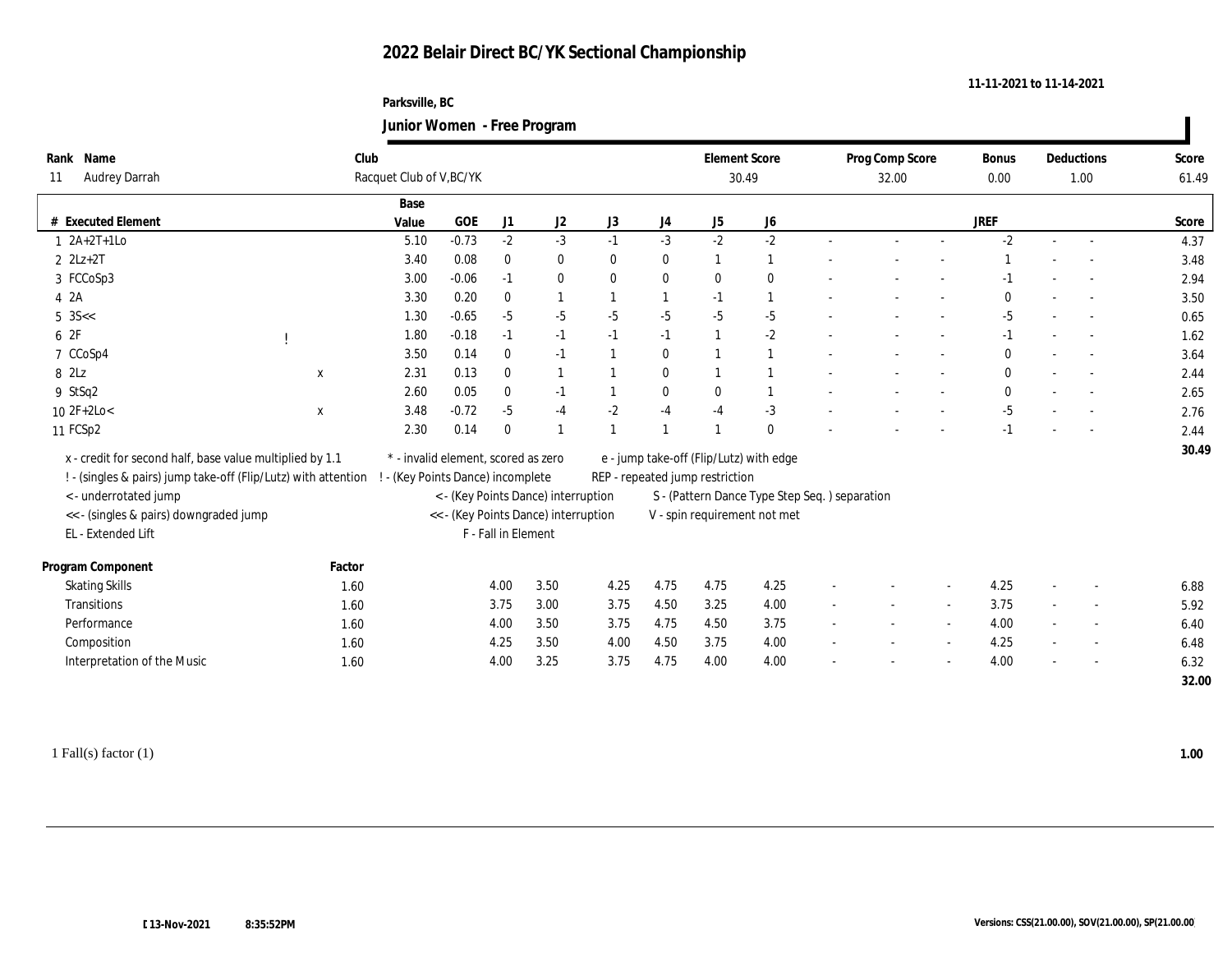#### **Parksville, BC Junior Women - Free Program**

|                                                                |        |                                   |                                     |                     | $\sigma$                             |                |                  |                                 |                                               |                 |        |              |        |                          |       |
|----------------------------------------------------------------|--------|-----------------------------------|-------------------------------------|---------------------|--------------------------------------|----------------|------------------|---------------------------------|-----------------------------------------------|-----------------|--------|--------------|--------|--------------------------|-------|
| Name<br>Rank                                                   | Club   |                                   |                                     |                     |                                      |                |                  |                                 | <b>Element Score</b>                          | Prog Comp Score |        | Bonus        |        | Deductions               | Score |
| <b>Audrey Darrah</b><br>11                                     |        | Racquet Club of V, BC/YK          |                                     |                     |                                      |                |                  |                                 | 30.49                                         | 32.00           |        | 0.00         |        | 1.00                     | 61.49 |
|                                                                |        | Base                              |                                     |                     |                                      |                |                  |                                 |                                               |                 |        |              |        |                          |       |
| # Executed Element                                             |        | Value                             | $\rm GOE$                           | J1                  | J2                                   | J3             | $_{\mathrm{J}4}$ | J5                              | J6                                            |                 |        | <b>JREF</b>  |        |                          | Score |
| $1 \ \ 2A+2T+1Lo$                                              |        | 5.10                              | $-0.73$                             | $-2$                | $-3$                                 | $-1$           | $-3$             | $-2$                            | $-2$                                          |                 | $\sim$ | $-2$         | $\sim$ |                          | 4.37  |
| $2$ $2Lz+2T$                                                   |        | 3.40                              | 0.08                                | $\bf{0}$            | $\bf{0}$                             | $\mathbf{0}$   | $\bf{0}$         | $\mathbf{1}$                    | $\mathbf{1}$                                  |                 |        |              |        |                          | 3.48  |
| 3 FCCoSp3                                                      |        | 3.00                              | $-0.06$                             | $-1$                | $\bf{0}$                             | $\bf{0}$       | $\bf{0}$         | $\mathbf{0}$                    | $\bf{0}$                                      |                 |        | $-1$         |        |                          | 2.94  |
| 4 2A                                                           |        | 3.30                              | 0.20                                | $\bf{0}$            | 1                                    | $\mathbf{1}$   | $\mathbf{1}$     | $-1$                            | 1                                             |                 |        | $\bf{0}$     |        |                          | 3.50  |
| $5 \text{ } 3S < $                                             |        | 1.30                              | $-0.65$                             | $-5$                | $-5$                                 | $-5$           | $-5$             | $-5$                            | $-5$                                          |                 |        | $-5$         |        |                          | 0.65  |
| 6 2F                                                           |        | 1.80                              | $-0.18$                             | $-1$                | $-1$                                 | $-1$           | $-1$             | $\overline{1}$                  | $-2$                                          |                 |        | $-1$         |        |                          | 1.62  |
| 7 CCoSp4                                                       |        | 3.50                              | 0.14                                | $\bf{0}$            | $-1$                                 | $\overline{1}$ | $\bf{0}$         |                                 | 1                                             |                 |        | $\bf{0}$     |        |                          | 3.64  |
| 8 2Lz                                                          | X      | 2.31                              | 0.13                                | $\bf{0}$            | 1                                    |                | $\bf{0}$         | $\overline{1}$                  | $\overline{1}$                                |                 |        | $\mathbf{0}$ |        |                          | 2.44  |
| 9 StSq2                                                        |        | 2.60                              | 0.05                                | $\bf{0}$            | $-1$                                 | $\mathbf{1}$   | $\bf{0}$         | $\mathbf{0}$                    | 1                                             |                 |        | $\mathbf{0}$ |        |                          | 2.65  |
| $10 \text{ } 2F + 2Lo <$                                       | X      | 3.48                              | $-0.72$                             | $-5$                | $-4$                                 | $-2$           | $-4$             | $-4$                            | $-3$                                          |                 |        | $-5$         |        |                          | 2.76  |
| 11 FCSp2                                                       |        | 2.30                              | 0.14                                | $\bf{0}$            | $\mathbf{1}$                         |                | $\overline{1}$   |                                 | $\mathbf{0}$                                  |                 |        | $-1$         |        |                          | 2.44  |
| x - credit for second half, base value multiplied by 1.1       |        |                                   | * - invalid element, scored as zero |                     |                                      |                |                  |                                 | e - jump take-off (Flip/Lutz) with edge       |                 |        |              |        |                          | 30.49 |
| ! - (singles & pairs) jump take-off (Flip/Lutz) with attention |        | ! - (Key Points Dance) incomplete |                                     |                     |                                      |                |                  | REP - repeated jump restriction |                                               |                 |        |              |        |                          |       |
| <- underrotated jump                                           |        |                                   |                                     |                     | < - (Key Points Dance) interruption  |                |                  |                                 | S - (Pattern Dance Type Step Seq.) separation |                 |        |              |        |                          |       |
| << - (singles & pairs) downgraded jump                         |        |                                   |                                     |                     | << - (Key Points Dance) interruption |                |                  |                                 | V - spin requirement not met                  |                 |        |              |        |                          |       |
| EL - Extended Lift                                             |        |                                   |                                     | F - Fall in Element |                                      |                |                  |                                 |                                               |                 |        |              |        |                          |       |
|                                                                |        |                                   |                                     |                     |                                      |                |                  |                                 |                                               |                 |        |              |        |                          |       |
| Program Component                                              | Factor |                                   |                                     |                     |                                      |                |                  |                                 |                                               |                 |        |              |        |                          |       |
| <b>Skating Skills</b>                                          | 1.60   |                                   |                                     | 4.00                | 3.50                                 | 4.25           | 4.75             | 4.75                            | 4.25                                          |                 |        | 4.25         |        |                          | 6.88  |
| Transitions                                                    | 1.60   |                                   |                                     | 3.75                | 3.00                                 | 3.75           | 4.50             | 3.25                            | 4.00                                          |                 | $\sim$ | 3.75         |        | $\overline{\phantom{a}}$ | 5.92  |
| Performance                                                    | 1.60   |                                   |                                     | 4.00                | 3.50                                 | 3.75           | 4.75             | 4.50                            | 3.75                                          |                 | $\sim$ | 4.00         |        | $\overline{\phantom{a}}$ | 6.40  |
| Composition                                                    | 1.60   |                                   |                                     | 4.25                | 3.50                                 | 4.00           | 4.50             | 3.75                            | 4.00                                          | $\sim$          | $\sim$ | 4.25         | $\sim$ | $\overline{a}$           | 6.48  |
| Interpretation of the Music                                    | 1.60   |                                   |                                     | 4.00                | 3.25                                 | 3.75           | 4.75             | 4.00                            | 4.00                                          |                 |        | 4.00         |        | $\overline{a}$           | 6.32  |
|                                                                |        |                                   |                                     |                     |                                      |                |                  |                                 |                                               |                 |        |              |        |                          | 32.00 |
|                                                                |        |                                   |                                     |                     |                                      |                |                  |                                 |                                               |                 |        |              |        |                          |       |

**11-11-2021 to 11-14-2021**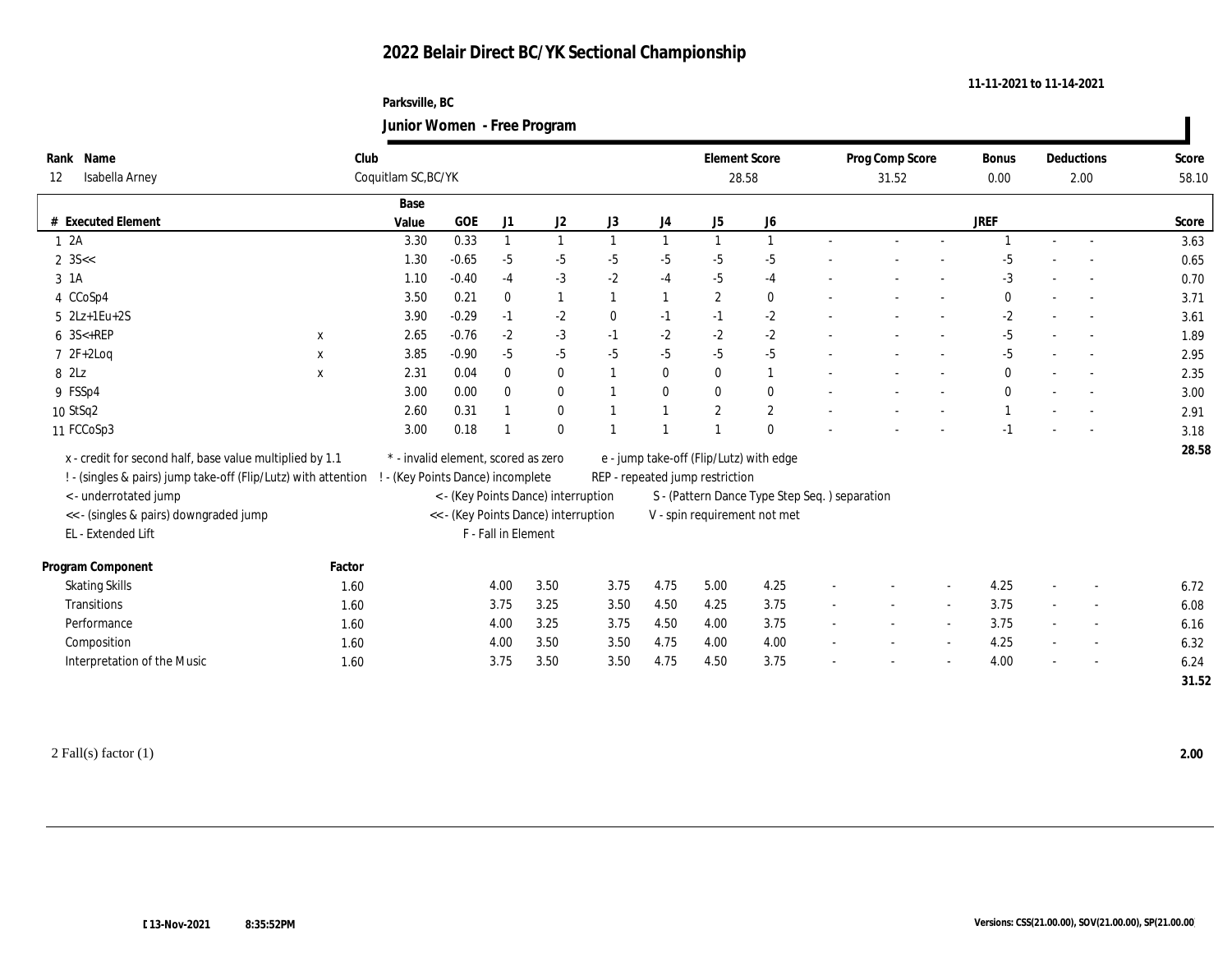### **Parksville, BC Junior Women - Free Program**

|      |                                                                |             |                                     |           |                     | $\mathbf{\sigma}$                    |                |          |                                 |                                               |                 |                          |              |        |                          |       |
|------|----------------------------------------------------------------|-------------|-------------------------------------|-----------|---------------------|--------------------------------------|----------------|----------|---------------------------------|-----------------------------------------------|-----------------|--------------------------|--------------|--------|--------------------------|-------|
| Rank | Name                                                           | Club        |                                     |           |                     |                                      |                |          |                                 | <b>Element Score</b>                          | Prog Comp Score |                          | Bonus        |        | Deductions               | Score |
| 12   | Isabella Arney                                                 |             | Coquitlam SC, BC/YK                 |           |                     |                                      |                |          |                                 | 28.58                                         | 31.52           |                          | 0.00         |        | 2.00                     | 58.10 |
|      |                                                                |             | Base                                |           |                     |                                      |                |          |                                 |                                               |                 |                          |              |        |                          |       |
|      | # Executed Element                                             |             | Value                               | $\rm GOE$ | J1                  | J <sub>2</sub>                       | J3             | J4       | J5                              | J <sub>6</sub>                                |                 |                          | <b>JREF</b>  |        |                          | Score |
|      | 12A                                                            |             | 3.30                                | 0.33      |                     |                                      |                |          |                                 | $\overline{1}$                                |                 |                          |              |        |                          | 3.63  |
|      | 2 $3S <$                                                       |             | 1.30                                | $-0.65$   | $-5$                | $-5$                                 | $-5$           | $-5$     | $-5$                            | $-5$                                          |                 |                          | -5           |        |                          | 0.65  |
|      | $3 \text{ } 1A$                                                |             | 1.10                                | $-0.40$   | $-4$                | $-3$                                 | $-2$           | $-4$     | $-5$                            | $-4$                                          |                 |                          | $-3$         |        |                          | 0.70  |
|      | 4 CCoSp4                                                       |             | 3.50                                | 0.21      | $\theta$            | 1                                    | $\overline{1}$ | 1        | $\boldsymbol{2}$                | $\bf{0}$                                      |                 |                          | $\mathbf{0}$ |        |                          | 3.71  |
|      | $5$ $2Lz+1Eu+2S$                                               |             | 3.90                                | $-0.29$   | $-1$                | $-2$                                 | $\mathbf{0}$   | $-1$     | $-1$                            | $-2$                                          |                 | $\overline{\phantom{a}}$ | $-2$         | $\sim$ |                          | 3.61  |
|      | 6 3S<+REP                                                      | X           | 2.65                                | $-0.76$   | $-2$                | $-3$                                 | $-1$           | $-2$     | $-2$                            | $-2$                                          |                 |                          | $-5$         |        |                          | 1.89  |
|      | $72F+2Log$                                                     | $\mathbf x$ | 3.85                                | $-0.90$   | $-5$                | $-5$                                 | $-5$           | $-5$     | $-5$                            | $-5$                                          |                 | $\overline{\phantom{a}}$ | $-5$         | $\sim$ |                          | 2.95  |
|      | 8 2Lz                                                          | $\mathbf X$ | 2.31                                | 0.04      | $\mathbf{0}$        | $\bf{0}$                             |                | $\bf{0}$ | $\bf{0}$                        | $\mathbf{1}$                                  |                 | $\overline{\phantom{a}}$ | $\mathbf{0}$ |        |                          | 2.35  |
|      | 9 FSSp4                                                        |             | 3.00                                | 0.00      | $\mathbf{0}$        | $\bf{0}$                             |                | $\bf{0}$ | $\mathbf{0}$                    | $\bf{0}$                                      |                 | $\overline{\phantom{a}}$ | $\bf{0}$     |        |                          | 3.00  |
|      | 10 StSq2                                                       |             | 2.60                                | 0.31      |                     | $\bf{0}$                             |                |          | $\mathbf{2}$                    | $\sqrt{2}$                                    |                 |                          |              |        |                          | 2.91  |
|      | 11 FCCoSp3                                                     |             | 3.00                                | 0.18      |                     | $\bf{0}$                             |                |          |                                 | $\mathbf{0}$                                  |                 |                          | -1           |        |                          | 3.18  |
|      | x - credit for second half, base value multiplied by 1.1       |             | * - invalid element, scored as zero |           |                     |                                      |                |          |                                 | e - jump take-off (Flip/Lutz) with edge       |                 |                          |              |        |                          | 28.58 |
|      | ! - (singles & pairs) jump take-off (Flip/Lutz) with attention |             | ! - (Key Points Dance) incomplete   |           |                     |                                      |                |          | REP - repeated jump restriction |                                               |                 |                          |              |        |                          |       |
|      | <- underrotated jump                                           |             |                                     |           |                     | < - (Key Points Dance) interruption  |                |          |                                 | S - (Pattern Dance Type Step Seq.) separation |                 |                          |              |        |                          |       |
|      | <<- (singles & pairs) downgraded jump                          |             |                                     |           |                     | << - (Key Points Dance) interruption |                |          |                                 | V - spin requirement not met                  |                 |                          |              |        |                          |       |
|      | EL - Extended Lift                                             |             |                                     |           | F - Fall in Element |                                      |                |          |                                 |                                               |                 |                          |              |        |                          |       |
|      |                                                                |             |                                     |           |                     |                                      |                |          |                                 |                                               |                 |                          |              |        |                          |       |
|      | Program Component                                              | Factor      |                                     |           |                     |                                      |                |          |                                 |                                               |                 |                          |              |        |                          |       |
|      | <b>Skating Skills</b>                                          | 1.60        |                                     |           | 4.00                | 3.50                                 | 3.75           | 4.75     | 5.00                            | 4.25                                          |                 |                          | 4.25         |        |                          | 6.72  |
|      | Transitions                                                    | 1.60        |                                     |           | 3.75                | 3.25                                 | 3.50           | 4.50     | 4.25                            | 3.75                                          |                 |                          | 3.75         | $\sim$ |                          | 6.08  |
|      | Performance                                                    | 1.60        |                                     |           | 4.00                | 3.25                                 | 3.75           | 4.50     | 4.00                            | 3.75                                          |                 | $\overline{\phantom{a}}$ | 3.75         | $\sim$ | $\overline{\phantom{a}}$ | 6.16  |
|      | Composition                                                    | 1.60        |                                     |           | 4.00                | 3.50                                 | 3.50           | 4.75     | 4.00                            | 4.00                                          |                 | $\sim$                   | 4.25         | $\sim$ |                          | 6.32  |
|      | Interpretation of the Music                                    | 1.60        |                                     |           | 3.75                | 3.50                                 | 3.50           | 4.75     | 4.50                            | 3.75                                          |                 |                          | 4.00         |        |                          | 6.24  |
|      |                                                                |             |                                     |           |                     |                                      |                |          |                                 |                                               |                 |                          |              |        |                          | 31.52 |

2 Fall(s) factor (1) **2.00**

**11-11-2021 to 11-14-2021**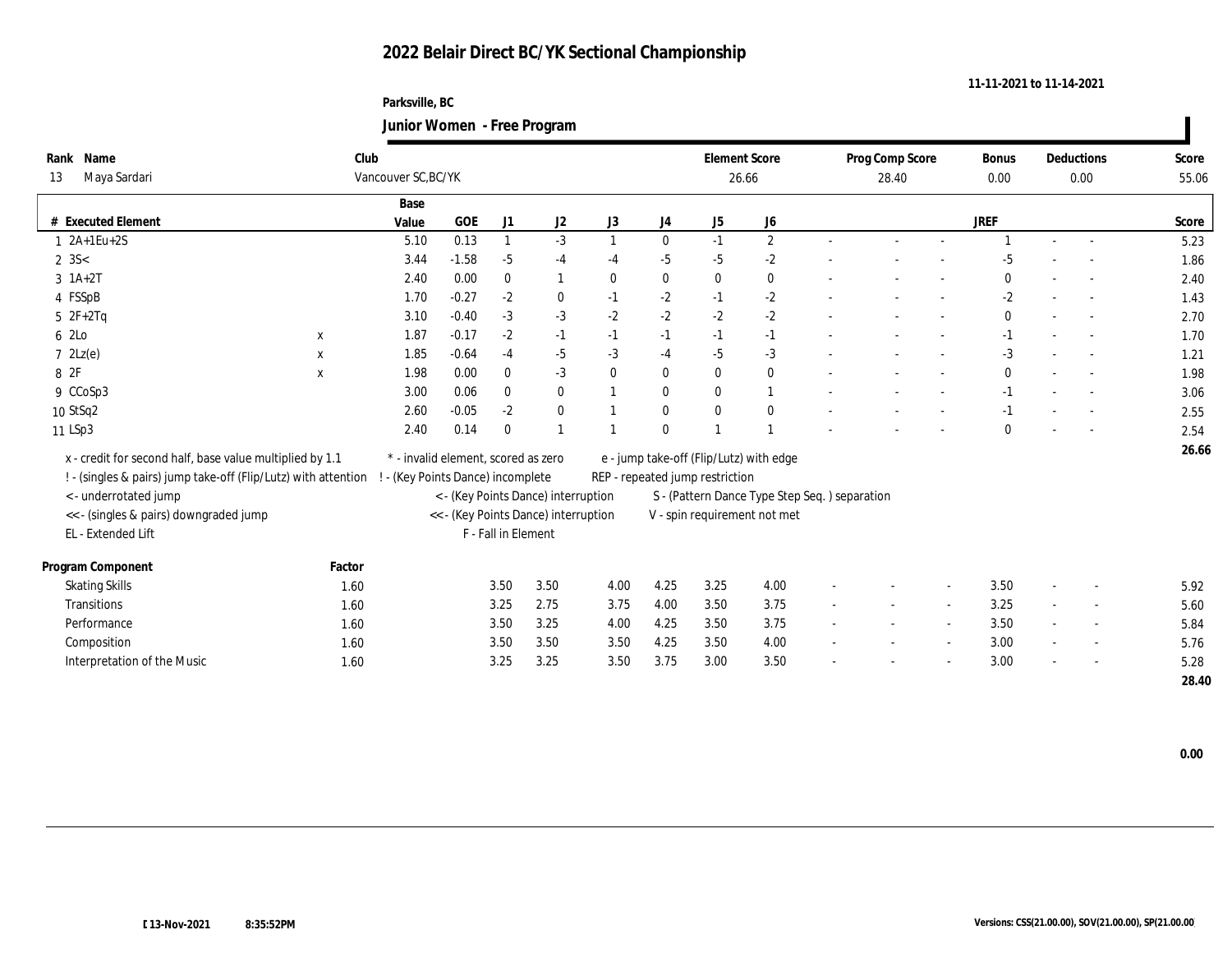### **Parksville, BC Junior Women - Free Program**

|                                                                |             |                                      |         |                                     | $\circ$                                          |                                               |              |                              |                |        |                          |                          |              |                          |                          |       |
|----------------------------------------------------------------|-------------|--------------------------------------|---------|-------------------------------------|--------------------------------------------------|-----------------------------------------------|--------------|------------------------------|----------------|--------|--------------------------|--------------------------|--------------|--------------------------|--------------------------|-------|
| Rank Name                                                      | Club        |                                      |         |                                     |                                                  |                                               |              | <b>Element Score</b>         |                |        | Prog Comp Score          |                          | Bonus        |                          | Deductions               | Score |
| Maya Sardari<br>13                                             |             | Vancouver SC, BC/YK                  |         |                                     |                                                  |                                               |              | 26.66                        |                |        | 28.40                    |                          |              |                          | 0.00                     | 55.06 |
|                                                                |             | Base                                 |         |                                     |                                                  |                                               |              |                              |                |        |                          |                          |              |                          |                          |       |
| # Executed Element                                             |             | Value                                | GOE     | J1                                  | J <sub>2</sub>                                   | J3                                            | J4           | J5                           | J <sub>6</sub> |        |                          |                          | <b>JREF</b>  |                          |                          | Score |
| $1 \ 2A+1Eu+2S$                                                |             | 5.10                                 | 0.13    |                                     | $-3$                                             |                                               | $\mathbf{0}$ | $-1$                         | $\sqrt{2}$     | $\sim$ | $\sim$                   | $\sim$                   |              | $\sim$                   | $\sim$                   | 5.23  |
| $2 \, 3S <$                                                    |             | 3.44                                 | $-1.58$ | $-5$                                | $-4$                                             | $-4$                                          | $-5$         | $-5$                         | $\mbox{-} 2$   |        |                          |                          | $-5$         |                          |                          | 1.86  |
| $3 \; 1A+2T$                                                   |             | 2.40                                 | 0.00    | $\bf{0}$                            |                                                  | $\mathbf{0}$                                  | $\bf{0}$     | $\mathbf{0}$                 | $\bf{0}$       |        |                          |                          | $\mathbf{0}$ |                          |                          | 2.40  |
| 4 FSSpB                                                        |             | 1.70                                 | $-0.27$ | $-2$                                | $\bf{0}$                                         | $-1$                                          | $-2$         | $-1$                         | $\mbox{-} 2$   |        |                          |                          | $-2$         |                          |                          | 1.43  |
| $5 \t2F+2Tq$                                                   |             | 3.10                                 | $-0.40$ | $-3$                                | $-3$                                             | $-2$                                          | $-2$         | $-2$                         | $-2$           |        |                          |                          | $\mathbf{0}$ |                          |                          | 2.70  |
| 6 2Lo                                                          | $\mathbf X$ | 1.87                                 | $-0.17$ | $-2$                                | $-1$                                             | $-1$                                          | $-1$         | $-1$                         | $-1$           |        |                          |                          | $-1$         |                          |                          | 1.70  |
| $7 \text{ } 2Lz(e)$                                            | X           | 1.85                                 | $-0.64$ | $-4$                                | $-5$                                             | $-3$                                          | $-4$         | $-5$                         | $-3$           |        |                          |                          | $-3$         |                          |                          | 1.21  |
| 8 2F                                                           | $\mathbf x$ | 1.98                                 | 0.00    | $\mathbf{0}$                        | $-3$                                             | $\mathbf{0}$                                  | $\bf{0}$     | $\mathbf{0}$                 | $\bf{0}$       |        |                          | $\overline{\phantom{a}}$ | $\mathbf{0}$ |                          |                          | 1.98  |
| 9 CCoSp3                                                       |             | 3.00                                 | 0.06    | $\bf{0}$                            | $\bf{0}$                                         |                                               | $\mathbf{0}$ | $\mathbf{0}$                 | 1              |        |                          |                          | $-1$         |                          |                          | 3.06  |
| 10 StSq2                                                       |             | 2.60                                 | $-0.05$ | $-2$                                | $\bf{0}$                                         |                                               | $\bf{0}$     | $\mathbf{0}$                 | $\bf{0}$       |        |                          |                          | $-1$         |                          |                          | 2.55  |
| 11 LSp3                                                        |             | 2.40                                 | 0.14    | $\Omega$                            |                                                  |                                               | $\bf{0}$     |                              |                |        |                          |                          | $\mathbf{0}$ |                          |                          | 2.54  |
| x - credit for second half, base value multiplied by 1.1       |             | * - invalid element, scored as zero  |         |                                     | 26.66<br>e - jump take-off (Flip/Lutz) with edge |                                               |              |                              |                |        |                          |                          |              |                          |                          |       |
| ! - (singles & pairs) jump take-off (Flip/Lutz) with attention |             | ! - (Key Points Dance) incomplete    |         |                                     | REP - repeated jump restriction                  |                                               |              |                              |                |        |                          |                          |              |                          |                          |       |
| < - underrotated jump                                          |             |                                      |         | < - (Key Points Dance) interruption |                                                  | S - (Pattern Dance Type Step Seq.) separation |              |                              |                |        |                          |                          |              |                          |                          |       |
| << - (singles & pairs) downgraded jump                         |             | << - (Key Points Dance) interruption |         |                                     |                                                  |                                               |              | V - spin requirement not met |                |        |                          |                          |              |                          |                          |       |
| EL - Extended Lift                                             |             |                                      |         | F - Fall in Element                 |                                                  |                                               |              |                              |                |        |                          |                          |              |                          |                          |       |
|                                                                |             |                                      |         |                                     |                                                  |                                               |              |                              |                |        |                          |                          |              |                          |                          |       |
| Program Component                                              | Factor      |                                      |         |                                     |                                                  |                                               |              |                              |                |        |                          |                          |              |                          |                          |       |
| <b>Skating Skills</b>                                          | 1.60        |                                      |         | 3.50                                | 3.50                                             | 4.00                                          | 4.25         | 3.25                         | 4.00           |        |                          |                          | 3.50         |                          |                          | 5.92  |
| Transitions                                                    | 1.60        |                                      |         | 3.25                                | 2.75                                             | 3.75                                          | 4.00         | 3.50                         | 3.75           |        | $\sim$                   | $\sim$                   | 3.25         | $\sim$                   | $\overline{\phantom{a}}$ | 5.60  |
| Performance                                                    | 1.60        |                                      |         | 3.50                                | 3.25                                             | 4.00                                          | 4.25         | 3.50                         | 3.75           |        | $\overline{\phantom{a}}$ | $\overline{\phantom{a}}$ | 3.50         | $\overline{\phantom{a}}$ | $\sim$                   | 5.84  |
| Composition                                                    | 1.60        |                                      |         | 3.50                                | 3.50                                             | 3.50                                          | 4.25         | 3.50                         | 4.00           |        |                          |                          | 3.00         |                          |                          | 5.76  |
| Interpretation of the Music                                    | 1.60        |                                      |         | 3.25                                | 3.25                                             | 3.50                                          | 3.75         | 3.00                         | 3.50           |        |                          |                          | 3.00         |                          |                          | 5.28  |
|                                                                |             |                                      |         |                                     |                                                  |                                               |              |                              |                |        |                          |                          |              |                          |                          | 28.40 |

 $\blacksquare$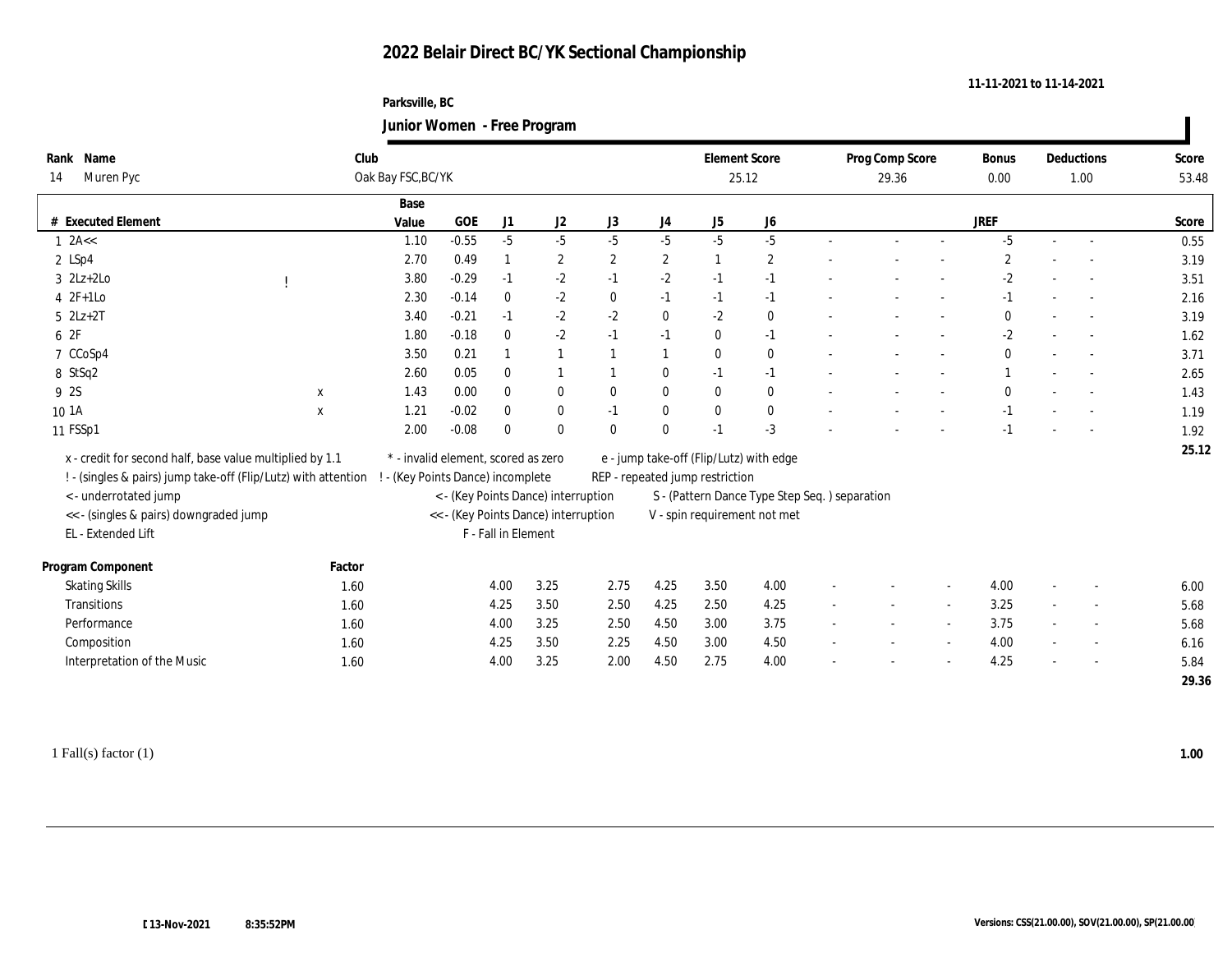#### **Parksville, BC Junior Women - Free Program**

|                                                                |             | $\frac{1}{2}$                       |            |                     |                                      |                  |              |                                 |                                               |                          |                 |        |                |                          |                          |       |
|----------------------------------------------------------------|-------------|-------------------------------------|------------|---------------------|--------------------------------------|------------------|--------------|---------------------------------|-----------------------------------------------|--------------------------|-----------------|--------|----------------|--------------------------|--------------------------|-------|
| Rank Name                                                      | Club        |                                     |            |                     |                                      |                  |              | <b>Element Score</b>            |                                               |                          | Prog Comp Score |        | Bonus          |                          | Deductions               | Score |
| Muren Pyc<br>14                                                |             | Oak Bay FSC, BC/YK                  |            |                     |                                      |                  |              |                                 | 25.12                                         | 29.36                    |                 |        | 0.00           |                          | 1.00                     | 53.48 |
|                                                                |             | Base                                |            |                     |                                      |                  |              |                                 |                                               |                          |                 |        |                |                          |                          |       |
| # Executed Element                                             |             | Value                               | <b>GOE</b> | J1                  | J <sub>2</sub>                       | J3               | J4           | J5                              | J6                                            |                          |                 |        | <b>JREF</b>    |                          |                          | Score |
| $1$ 2A <<                                                      |             | 1.10                                | $-0.55$    | $-5$                | $-5$                                 | $-5$             | $-5$         | $-5$                            | $-5$                                          | $\sim$                   | $\sim$          | $\sim$ | $-5$           | $\sim$                   | $\sim$                   | 0.55  |
| $2$ LSp4                                                       |             | 2.70                                | 0.49       |                     | $\boldsymbol{2}$                     | $\boldsymbol{2}$ | $\mathbf{2}$ |                                 | $\boldsymbol{2}$                              |                          |                 |        | $\overline{c}$ |                          |                          | 3.19  |
| $3$ $2Lz+2Lo$                                                  |             | 3.80                                | $-0.29$    | $-1$                | $-2$                                 | $-1$             | $-2$         | $-1$                            | $-1$                                          |                          |                 | $\sim$ | $-2$           | $\sim$                   |                          | 3.51  |
| $4$ 2F+1Lo                                                     |             | 2.30                                | $-0.14$    | $\mathbf{0}$        | $-2$                                 | $\mathbf{0}$     | $-1$         | $-1$                            | $-1$                                          |                          |                 | $\sim$ | $-1$           |                          | $\sim$                   | 2.16  |
| $5$ $2Lz+2T$                                                   |             | 3.40                                | $-0.21$    | $-1$                | $-2$                                 | $-2$             | $\bf{0}$     | $-2$                            | $\bf{0}$                                      |                          |                 |        | $\mathbf{0}$   |                          |                          | 3.19  |
| 6 2F                                                           |             | 1.80                                | $-0.18$    | $\mathbf{0}$        | $-2$                                 | $-1$             | $-1$         | $\bf{0}$                        | $-1$                                          |                          |                 |        | $-2$           |                          | $\overline{\phantom{a}}$ | 1.62  |
| 7 CCoSp4                                                       |             | 3.50                                | 0.21       |                     |                                      |                  |              | $\bf{0}$                        | $\bf{0}$                                      |                          |                 | $\sim$ | $\mathbf{0}$   | $\sim$                   |                          | 3.71  |
| 8 StSq2                                                        |             | 2.60                                | 0.05       | $\mathbf{0}$        |                                      |                  | $\bf{0}$     | $-1$                            | $-1$                                          |                          |                 | $\sim$ |                |                          | $\sim$                   | 2.65  |
| 9 2S                                                           | $\mathbf x$ | 1.43                                | 0.00       | $\mathbf{0}$        | $\bf{0}$                             | $\theta$         | $\bf{0}$     | $\mathbf{0}$                    | $\bf{0}$                                      |                          |                 |        |                |                          |                          | 1.43  |
| 10 1A                                                          | $\mathbf X$ | 1.21                                | $-0.02$    | $\mathbf{0}$        | $\bf{0}$                             | $-1$             | $\bf{0}$     | $\mathbf{0}$                    | $\bf{0}$                                      |                          |                 |        | $-1$           |                          |                          | 1.19  |
| 11 FSSp1                                                       |             | 2.00                                | $-0.08$    | $\theta$            | $\bf{0}$                             | $\bf{0}$         | $\bf{0}$     | $-1$                            | $-3$                                          |                          |                 |        |                |                          |                          | 1.92  |
| x - credit for second half, base value multiplied by 1.1       |             | * - invalid element, scored as zero |            |                     |                                      |                  |              |                                 | e - jump take-off (Flip/Lutz) with edge       |                          |                 |        |                |                          |                          | 25.12 |
| ! - (singles & pairs) jump take-off (Flip/Lutz) with attention |             | - (Key Points Dance) incomplete     |            |                     |                                      |                  |              | REP - repeated jump restriction |                                               |                          |                 |        |                |                          |                          |       |
| <- underrotated jump                                           |             |                                     |            |                     | < - (Key Points Dance) interruption  |                  |              |                                 | S - (Pattern Dance Type Step Seq.) separation |                          |                 |        |                |                          |                          |       |
| << - (singles & pairs) downgraded jump                         |             |                                     |            |                     | << - (Key Points Dance) interruption |                  |              |                                 | V - spin requirement not met                  |                          |                 |        |                |                          |                          |       |
| EL - Extended Lift                                             |             |                                     |            | F - Fall in Element |                                      |                  |              |                                 |                                               |                          |                 |        |                |                          |                          |       |
|                                                                |             |                                     |            |                     |                                      |                  |              |                                 |                                               |                          |                 |        |                |                          |                          |       |
| Program Component                                              | Factor      |                                     |            |                     |                                      |                  |              |                                 |                                               |                          |                 |        |                |                          |                          |       |
| <b>Skating Skills</b>                                          | 1.60        |                                     |            | 4.00                | 3.25                                 | 2.75             | 4.25         | 3.50                            | 4.00                                          |                          |                 | $\sim$ | 4.00           | $\overline{\phantom{a}}$ |                          | 6.00  |
| Transitions                                                    | 1.60        |                                     |            | 4.25                | 3.50                                 | 2.50             | 4.25         | 2.50                            | 4.25                                          |                          |                 | $\sim$ | 3.25           |                          |                          | 5.68  |
| Performance                                                    | 1.60        |                                     |            | 4.00                | 3.25                                 | 2.50             | 4.50         | 3.00                            | 3.75                                          |                          |                 | $\sim$ | 3.75           |                          | $\overline{\phantom{a}}$ | 5.68  |
| Composition                                                    | 1.60        |                                     |            | 4.25                | 3.50                                 | 2.25             | 4.50         | 3.00                            | 4.50                                          | $\overline{a}$           |                 | $\sim$ | 4.00           | $\sim$                   | $\overline{\phantom{a}}$ | 6.16  |
| Interpretation of the Music                                    | 1.60        |                                     |            | 4.00                | 3.25                                 | 2.00             | 4.50         | 2.75                            | 4.00                                          | $\overline{\phantom{a}}$ |                 |        | 4.25           | $\overline{\phantom{a}}$ |                          | 5.84  |
|                                                                |             |                                     |            |                     |                                      |                  |              |                                 |                                               |                          |                 |        |                |                          |                          | 29.36 |
|                                                                |             |                                     |            |                     |                                      |                  |              |                                 |                                               |                          |                 |        |                |                          |                          |       |

1 Fall(s) factor (1) **1.00**

**11-11-2021 to 11-14-2021**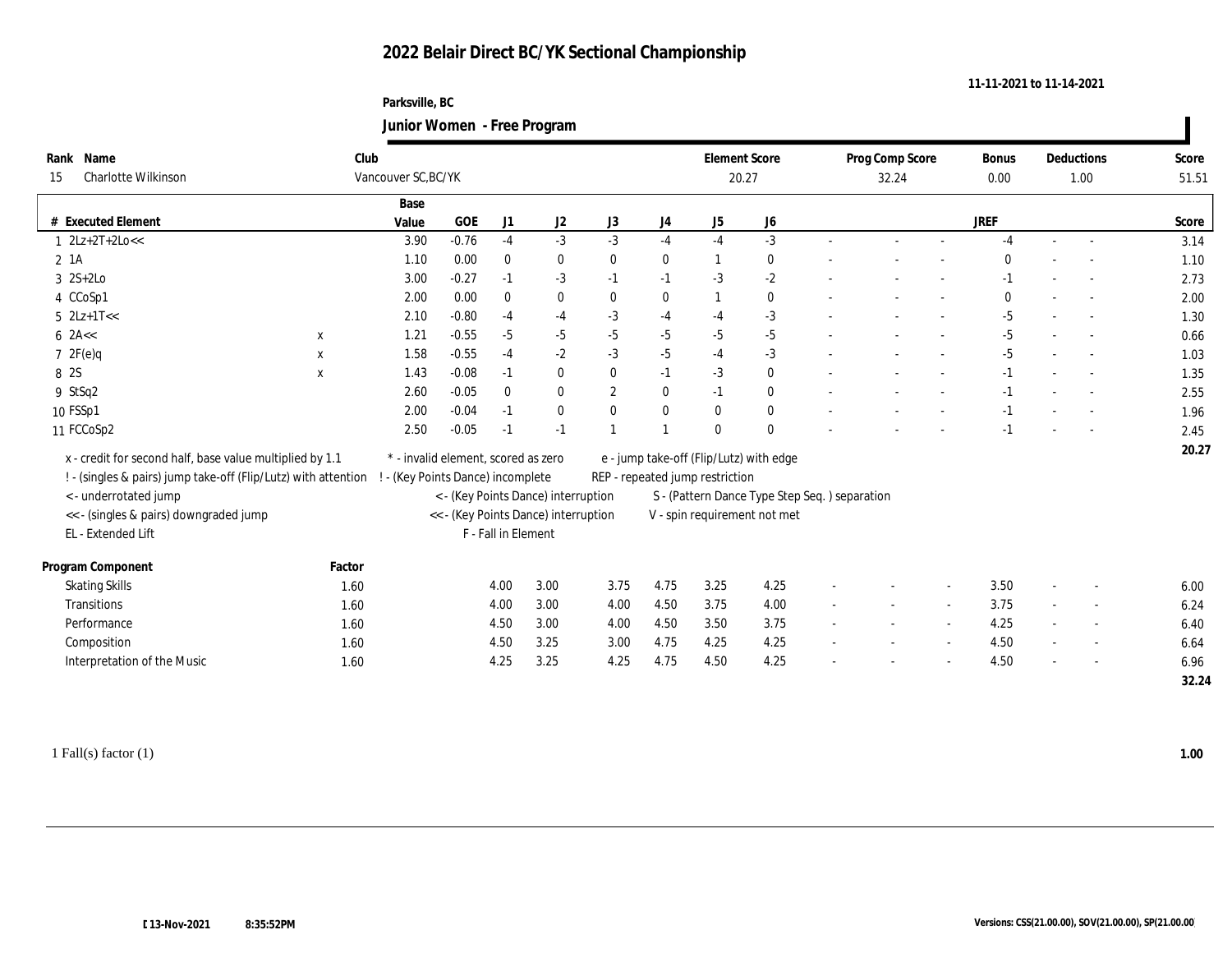#### **Parksville, BC Junior Women - Free Program**

| Name<br><b>Charlotte Wilkinson</b> |                                                                                                                                                                                                                                                                                                                                                                              |                                                                                                                                            |         |                     |                              |                                                                                                         |                                                                             |                |              |                                                                                                                     | 32.24 |                                               | <b>Bonus</b><br>0.00 |                          |                          | Score<br>51.51     |  |
|------------------------------------|------------------------------------------------------------------------------------------------------------------------------------------------------------------------------------------------------------------------------------------------------------------------------------------------------------------------------------------------------------------------------|--------------------------------------------------------------------------------------------------------------------------------------------|---------|---------------------|------------------------------|---------------------------------------------------------------------------------------------------------|-----------------------------------------------------------------------------|----------------|--------------|---------------------------------------------------------------------------------------------------------------------|-------|-----------------------------------------------|----------------------|--------------------------|--------------------------|--------------------|--|
|                                    |                                                                                                                                                                                                                                                                                                                                                                              | Base                                                                                                                                       |         |                     |                              |                                                                                                         |                                                                             |                |              |                                                                                                                     |       |                                               |                      |                          |                          |                    |  |
|                                    |                                                                                                                                                                                                                                                                                                                                                                              | Value                                                                                                                                      | GOE     | J1                  | J2                           | J3                                                                                                      | J <sub>4</sub>                                                              | J5             | J6           |                                                                                                                     |       |                                               | <b>JREF</b>          |                          |                          | Score              |  |
|                                    |                                                                                                                                                                                                                                                                                                                                                                              | 3.90                                                                                                                                       | $-0.76$ | $-4$                | $-3$                         | $-3$                                                                                                    | $-4$                                                                        | $-4$           | $-3$         |                                                                                                                     |       |                                               | $-4$                 | $\sim$                   | $\overline{\phantom{a}}$ | 3.14               |  |
|                                    |                                                                                                                                                                                                                                                                                                                                                                              | 1.10                                                                                                                                       | 0.00    | $\bf{0}$            | $\bf{0}$                     | $\bf{0}$                                                                                                | $\bf{0}$                                                                    | -1             | $\bf{0}$     |                                                                                                                     |       |                                               |                      |                          |                          | 1.10               |  |
|                                    |                                                                                                                                                                                                                                                                                                                                                                              | 3.00                                                                                                                                       | $-0.27$ | $-1$                | $-3$                         | $-1$                                                                                                    | $-1$                                                                        | $-3$           | $-2$         |                                                                                                                     |       |                                               | $-1$                 | $\overline{\phantom{a}}$ |                          | 2.73               |  |
|                                    |                                                                                                                                                                                                                                                                                                                                                                              | 2.00                                                                                                                                       | 0.00    | $\bf{0}$            | $\bf{0}$                     | $\bf{0}$                                                                                                | $\bf{0}$                                                                    | $\overline{1}$ | $\bf{0}$     |                                                                                                                     |       |                                               | $\mathbf{0}$         |                          |                          | 2.00               |  |
|                                    |                                                                                                                                                                                                                                                                                                                                                                              | 2.10                                                                                                                                       | $-0.80$ | $-4$                | $-4$                         | $-3$                                                                                                    | $-4$                                                                        | $-4$           | $-3$         |                                                                                                                     |       |                                               | $-5$                 | $\sim$                   |                          | 1.30               |  |
|                                    | $\mathbf X$                                                                                                                                                                                                                                                                                                                                                                  | 1.21                                                                                                                                       | $-0.55$ | $-5$                | $-5$                         | $-5$                                                                                                    | $-5$                                                                        | $-5$           | $-5$         |                                                                                                                     |       |                                               | $-5$                 |                          |                          | 0.66               |  |
|                                    | $\mathbf x$                                                                                                                                                                                                                                                                                                                                                                  | 1.58                                                                                                                                       | $-0.55$ | $-4$                | $-2$                         | $-3$                                                                                                    | $-5$                                                                        | $-4$           | $-3$         |                                                                                                                     |       |                                               | $-5$                 | $\sim$                   |                          | 1.03               |  |
|                                    | $\mathbf X$                                                                                                                                                                                                                                                                                                                                                                  | 1.43                                                                                                                                       | $-0.08$ | $-1$                | $\bf{0}$                     | $\mathbf{0}$                                                                                            | $-1$                                                                        | $-3$           | $\bf{0}$     |                                                                                                                     |       |                                               | $-1$                 |                          |                          | 1.35               |  |
|                                    |                                                                                                                                                                                                                                                                                                                                                                              | 2.60                                                                                                                                       | $-0.05$ | $\mathbf{0}$        | $\bf{0}$                     | $\boldsymbol{2}$                                                                                        | $\bf{0}$                                                                    | $-1$           | $\bf{0}$     |                                                                                                                     |       |                                               | $-1$                 |                          |                          | 2.55               |  |
|                                    |                                                                                                                                                                                                                                                                                                                                                                              | 2.00                                                                                                                                       | $-0.04$ | $-1$                | $\bf{0}$                     | $\mathbf{0}$                                                                                            | $\bf{0}$                                                                    | $\mathbf{0}$   | $\bf{0}$     |                                                                                                                     |       |                                               | $-1$                 |                          |                          | 1.96               |  |
|                                    |                                                                                                                                                                                                                                                                                                                                                                              | 2.50                                                                                                                                       | $-0.05$ | $-1$                | $-1$                         |                                                                                                         |                                                                             | $\mathbf{0}$   | $\mathbf{0}$ |                                                                                                                     |       |                                               | -1                   |                          |                          | 2.45               |  |
|                                    |                                                                                                                                                                                                                                                                                                                                                                              |                                                                                                                                            |         |                     |                              |                                                                                                         |                                                                             |                |              |                                                                                                                     |       |                                               |                      |                          |                          | 20.27              |  |
|                                    |                                                                                                                                                                                                                                                                                                                                                                              |                                                                                                                                            |         |                     |                              |                                                                                                         |                                                                             |                |              |                                                                                                                     |       |                                               |                      |                          |                          |                    |  |
|                                    |                                                                                                                                                                                                                                                                                                                                                                              |                                                                                                                                            |         |                     |                              |                                                                                                         |                                                                             |                |              |                                                                                                                     |       |                                               |                      |                          |                          |                    |  |
|                                    |                                                                                                                                                                                                                                                                                                                                                                              |                                                                                                                                            |         |                     |                              |                                                                                                         | V - spin requirement not met                                                |                |              |                                                                                                                     |       |                                               |                      |                          |                          |                    |  |
|                                    |                                                                                                                                                                                                                                                                                                                                                                              |                                                                                                                                            |         |                     |                              |                                                                                                         |                                                                             |                |              |                                                                                                                     |       |                                               |                      |                          |                          |                    |  |
|                                    | Factor                                                                                                                                                                                                                                                                                                                                                                       |                                                                                                                                            |         |                     |                              |                                                                                                         |                                                                             |                |              |                                                                                                                     |       |                                               |                      |                          |                          |                    |  |
|                                    | 1.60                                                                                                                                                                                                                                                                                                                                                                         |                                                                                                                                            |         |                     | 3.00                         | 3.75                                                                                                    | 4.75                                                                        | 3.25           | 4.25         |                                                                                                                     |       |                                               | 3.50                 | $\sim$                   |                          | 6.00               |  |
|                                    | 1.60                                                                                                                                                                                                                                                                                                                                                                         |                                                                                                                                            |         |                     | 3.00                         | 4.00                                                                                                    | 4.50                                                                        | 3.75           | 4.00         |                                                                                                                     |       |                                               | 3.75                 |                          |                          | 6.24               |  |
|                                    |                                                                                                                                                                                                                                                                                                                                                                              |                                                                                                                                            |         |                     | 3.00                         | 4.00                                                                                                    | 4.50                                                                        | 3.50           | 3.75         |                                                                                                                     |       | $\sim$                                        |                      | $\sim$                   |                          | 6.40               |  |
|                                    |                                                                                                                                                                                                                                                                                                                                                                              |                                                                                                                                            |         |                     |                              | 3.00                                                                                                    | 4.75                                                                        | 4.25           |              |                                                                                                                     |       | $\overline{\phantom{a}}$                      |                      |                          | $\sim$                   | 6.64               |  |
| Interpretation of the Music        | 1.60                                                                                                                                                                                                                                                                                                                                                                         |                                                                                                                                            |         | 4.25                | 3.25                         | 4.25                                                                                                    | 4.75                                                                        | 4.50           | 4.25         |                                                                                                                     |       |                                               | 4.50                 |                          |                          | 6.96               |  |
|                                    |                                                                                                                                                                                                                                                                                                                                                                              |                                                                                                                                            |         |                     |                              |                                                                                                         |                                                                             |                |              |                                                                                                                     |       |                                               |                      |                          |                          |                    |  |
|                                    | Rank<br># Executed Element<br>$1 \quad 2Lz + 2T + 2Lo <<$<br>2 1A<br>$3 \quad 2S+2Lo$<br>4 CCoSp1<br>$5$ $2Lz+1T<<$<br>$6$ 2A <<<br>72F(e)q<br>8 2S<br>9 StSq2<br>10 FSSp1<br>11 FCCoSp2<br>< - underrotated jump<br><< - (singles & pairs) downgraded jump<br>EL - Extended Lift<br>Program Component<br><b>Skating Skills</b><br>Transitions<br>Performance<br>Composition | x - credit for second half, base value multiplied by 1.1<br>! - (singles & pairs) jump take-off (Flip/Lutz) with attention<br>1.60<br>1.60 | Club    | Vancouver SC, BC/YK | 4.00<br>4.00<br>4.50<br>4.50 | * - invalid element, scored as zero<br>! - (Key Points Dance) incomplete<br>F - Fall in Element<br>3.25 | < - (Key Points Dance) interruption<br><< - (Key Points Dance) interruption |                |              | <b>Element Score</b><br>20.27<br>e - jump take-off (Flip/Lutz) with edge<br>REP - repeated jump restriction<br>4.25 |       | S - (Pattern Dance Type Step Seq.) separation | Prog Comp Score      | 4.25<br>4.50             |                          | Deductions<br>1.00 |  |

1 Fall(s) factor (1) **1.00**

**11-11-2021 to 11-14-2021**